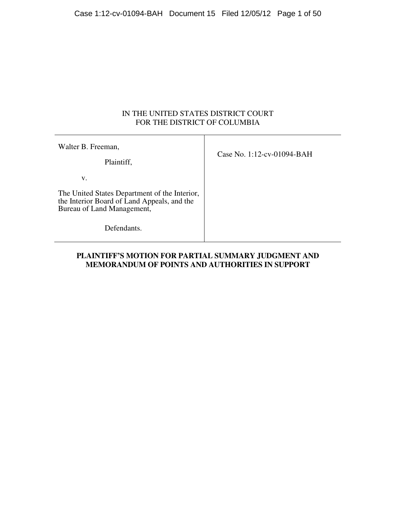# IN THE UNITED STATES DISTRICT COURT FOR THE DISTRICT OF COLUMBIA

| Walter B. Freeman,<br>Plaintiff,                                                                                                                | Case No. 1:12-cv-01094-BAH |
|-------------------------------------------------------------------------------------------------------------------------------------------------|----------------------------|
| V.<br>The United States Department of the Interior,<br>the Interior Board of Land Appeals, and the<br>Bureau of Land Management,<br>Defendants. |                            |

# **PLAINTIFF'S MOTION FOR PARTIAL SUMMARY JUDGMENT AND MEMORANDUM OF POINTS AND AUTHORITIES IN SUPPORT**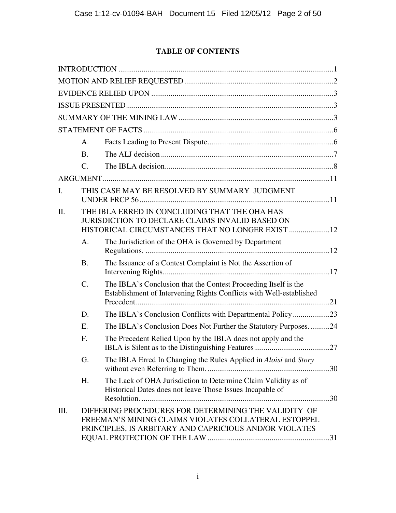# **TABLE OF CONTENTS**

|      | Α.             |                                                                                                                                                                        |  |
|------|----------------|------------------------------------------------------------------------------------------------------------------------------------------------------------------------|--|
|      | <b>B.</b>      |                                                                                                                                                                        |  |
|      | $C_{\cdot}$    |                                                                                                                                                                        |  |
|      |                |                                                                                                                                                                        |  |
| I.   |                | THIS CASE MAY BE RESOLVED BY SUMMARY JUDGMENT                                                                                                                          |  |
| II.  |                | THE IBLA ERRED IN CONCLUDING THAT THE OHA HAS<br><b>JURISDICTION TO DECLARE CLAIMS INVALID BASED ON</b><br>HISTORICAL CIRCUMSTANCES THAT NO LONGER EXIST 12            |  |
|      | A <sub>1</sub> | The Jurisdiction of the OHA is Governed by Department                                                                                                                  |  |
|      | <b>B.</b>      | The Issuance of a Contest Complaint is Not the Assertion of                                                                                                            |  |
|      | C.             | The IBLA's Conclusion that the Contest Proceeding Itself is the<br>Establishment of Intervening Rights Conflicts with Well-established                                 |  |
|      | D.             | The IBLA's Conclusion Conflicts with Departmental Policy23                                                                                                             |  |
|      | E.             | The IBLA's Conclusion Does Not Further the Statutory Purposes24                                                                                                        |  |
|      | F.             | The Precedent Relied Upon by the IBLA does not apply and the                                                                                                           |  |
|      | G.             | The IBLA Erred In Changing the Rules Applied in Aloisi and Story                                                                                                       |  |
|      | H.             | The Lack of OHA Jurisdiction to Determine Claim Validity as of<br>Historical Dates does not leave Those Issues Incapable of                                            |  |
| III. |                | DIFFERING PROCEDURES FOR DETERMINING THE VALIDITY OF<br>FREEMAN'S MINING CLAIMS VIOLATES COLLATERAL ESTOPPEL<br>PRINCIPLES, IS ARBITARY AND CAPRICIOUS AND/OR VIOLATES |  |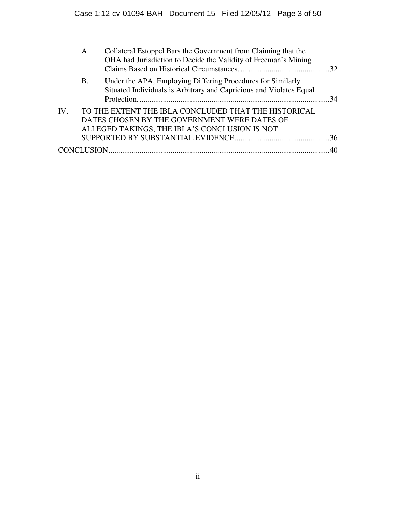|     | Α. | Collateral Estoppel Bars the Government from Claiming that the<br>OHA had Jurisdiction to Decide the Validity of Freeman's Mining                     |    |
|-----|----|-------------------------------------------------------------------------------------------------------------------------------------------------------|----|
|     | Β. | Under the APA, Employing Differing Procedures for Similarly<br>Situated Individuals is Arbitrary and Capricious and Violates Equal                    | 34 |
| IV. |    | TO THE EXTENT THE IBLA CONCLUDED THAT THE HISTORICAL<br>DATES CHOSEN BY THE GOVERNMENT WERE DATES OF<br>ALLEGED TAKINGS, THE IBLA'S CONCLUSION IS NOT |    |
|     |    |                                                                                                                                                       |    |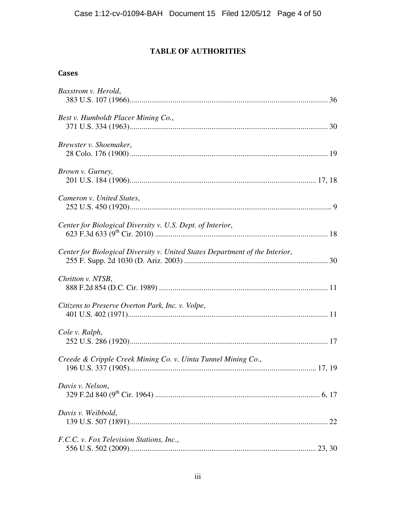# **TABLE OF AUTHORITIES**

# Cases

| Baxstrom v. Herold,                                                          |  |
|------------------------------------------------------------------------------|--|
| Best v. Humboldt Placer Mining Co.,                                          |  |
| Brewster v. Shoemaker,                                                       |  |
| Brown v. Gurney,                                                             |  |
| Cameron v. United States,                                                    |  |
| Center for Biological Diversity v. U.S. Dept. of Interior,                   |  |
| Center for Biological Diversity v. United States Department of the Interior, |  |
| Chritton v. NTSB,                                                            |  |
| Citizens to Preserve Overton Park, Inc. v. Volpe,                            |  |
| Cole v. Ralph,                                                               |  |
| Creede & Cripple Creek Mining Co. v. Uinta Tunnel Mining Co.,                |  |
| Davis v. Nelson,                                                             |  |
| Davis v. Weibbold,                                                           |  |
| F.C.C. v. Fox Television Stations, Inc.,                                     |  |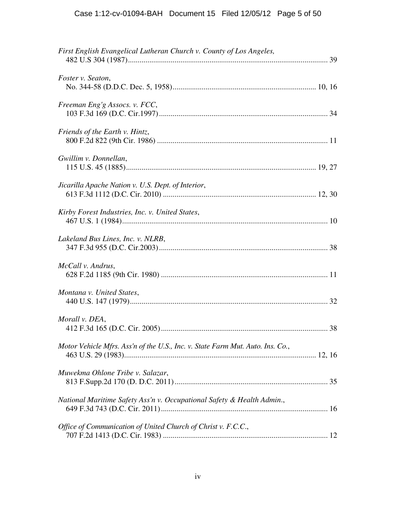| First English Evangelical Lutheran Church v. County of Los Angeles,            |  |
|--------------------------------------------------------------------------------|--|
| Foster v. Seaton,                                                              |  |
| Freeman Eng'g Assocs. v. FCC,                                                  |  |
| Friends of the Earth v. Hintz,                                                 |  |
| Gwillim v. Donnellan,                                                          |  |
| Jicarilla Apache Nation v. U.S. Dept. of Interior,                             |  |
| Kirby Forest Industries, Inc. v. United States,                                |  |
| Lakeland Bus Lines, Inc. v. NLRB,                                              |  |
| McCall v. Andrus,                                                              |  |
| Montana v. United States,                                                      |  |
| Morall v. DEA,                                                                 |  |
| Motor Vehicle Mfrs. Ass'n of the U.S., Inc. v. State Farm Mut. Auto. Ins. Co., |  |
| Muwekma Ohlone Tribe v. Salazar,                                               |  |
| National Maritime Safety Ass'n v. Occupational Safety & Health Admin.,         |  |
| Office of Communication of United Church of Christ v. F.C.C.,                  |  |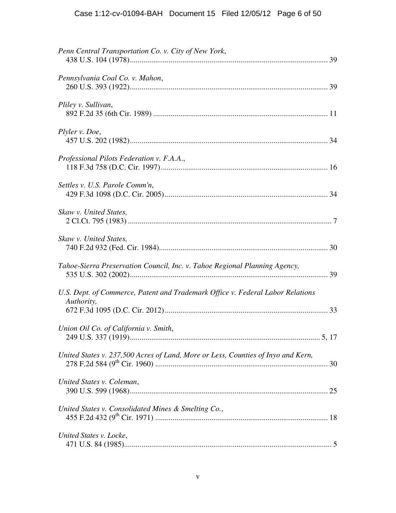| Penn Central Transportation Co. v. City of New York,                                         |
|----------------------------------------------------------------------------------------------|
| Pennsylvania Coal Co. v. Mahon,                                                              |
| Pliley v. Sullivan,                                                                          |
| Plyler v. Doe,                                                                               |
| Professional Pilots Federation v. F.A.A.,                                                    |
| Settles v. U.S. Parole Comm'n,                                                               |
| Skaw v. United States,                                                                       |
| Skaw v. United States,                                                                       |
| Tahoe-Sierra Preservation Council, Inc. v. Tahoe Regional Planning Agency,                   |
| U.S. Dept. of Commerce, Patent and Trademark Office v. Federal Labor Relations<br>Authority, |
| Union Oil Co. of California v. Smith,<br>5. 17                                               |
| United States v. 237,500 Acres of Land, More or Less, Counties of Inyo and Kern,             |
| United States v. Coleman,                                                                    |
| United States v. Consolidated Mines & Smelting Co.,                                          |
| United States v. Locke,                                                                      |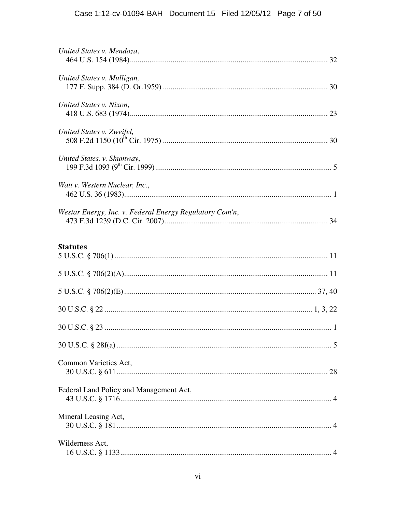| United States v. Mendoza,                               |
|---------------------------------------------------------|
| United States v. Mulligan,                              |
| United States v. Nixon,                                 |
| United States v. Zweifel,                               |
| United States. v. Shumway,                              |
| Watt v. Western Nuclear, Inc.,                          |
| Westar Energy, Inc. v. Federal Energy Regulatory Com'n, |
| <b>Statutes</b>                                         |
|                                                         |
|                                                         |
|                                                         |
|                                                         |
|                                                         |
| Common Varieties Act,                                   |
| Federal Land Policy and Management Act,                 |
| Mineral Leasing Act,                                    |
| Wilderness Act,                                         |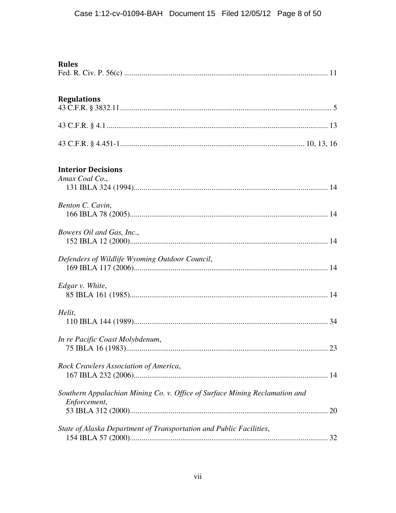| <b>Rules</b>                                                                                |
|---------------------------------------------------------------------------------------------|
| <b>Regulations</b>                                                                          |
|                                                                                             |
|                                                                                             |
| <b>Interior Decisions</b><br>Amax Coal Co.,                                                 |
| Benton C. Cavin,                                                                            |
| Bowers Oil and Gas, Inc.,                                                                   |
| Defenders of Wildlife Wyoming Outdoor Council,                                              |
| Edgar v. White,                                                                             |
| Helit,                                                                                      |
| In re Pacific Coast Molybdenum,                                                             |
| Rock Crawlers Association of America,                                                       |
| Southern Appalachian Mining Co. v. Office of Surface Mining Reclamation and<br>Enforcement, |
| State of Alaska Department of Transportation and Public Facilities,                         |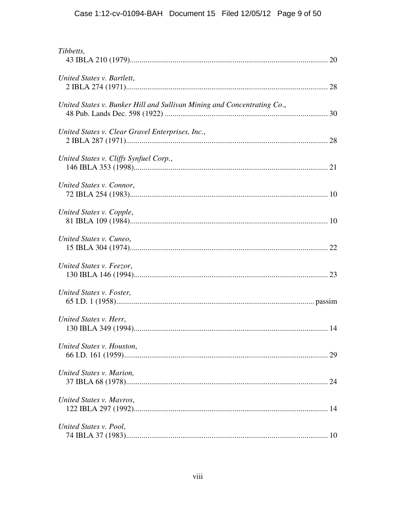| Tibbetts,                                                               |    |
|-------------------------------------------------------------------------|----|
| United States v. Bartlett,                                              |    |
| United States v. Bunker Hill and Sullivan Mining and Concentrating Co., |    |
| United States v. Clear Gravel Enterprises, Inc.,                        |    |
| United States v. Cliffs Synfuel Corp.,                                  |    |
| United States v. Connor,                                                |    |
| United States v. Copple,                                                |    |
| United States v. Cuneo,                                                 |    |
| United States v. Feezor,                                                |    |
| United States v. Foster,                                                |    |
| United States v. Herr,                                                  |    |
| United States v. Houston,                                               | 29 |
| United States v. Marion,                                                |    |
| United States v. Mayros,                                                |    |
| United States v. Pool,                                                  |    |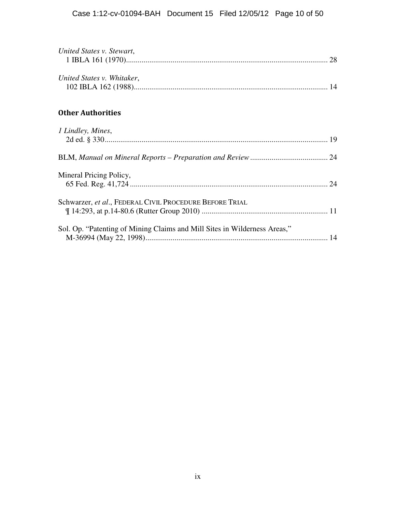| United States v. Stewart,                               |  |
|---------------------------------------------------------|--|
|                                                         |  |
| United States v. Whitaker,                              |  |
|                                                         |  |
| <b>Other Authorities</b>                                |  |
| 1 Lindley, Mines,                                       |  |
|                                                         |  |
| Mineral Pricing Policy,                                 |  |
|                                                         |  |
| Schwarzer, et al., FEDERAL CIVIL PROCEDURE BEFORE TRIAL |  |
|                                                         |  |

| Sol. Op. "Patenting of Mining Claims and Mill Sites in Wilderness Areas," |  |
|---------------------------------------------------------------------------|--|
|                                                                           |  |
|                                                                           |  |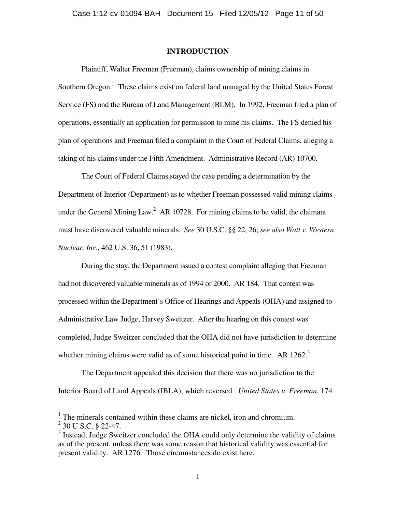### **INTRODUCTION**

Plaintiff, Walter Freeman (Freeman), claims ownership of mining claims in Southern Oregon.<sup>1</sup> These claims exist on federal land managed by the United States Forest Service (FS) and the Bureau of Land Management (BLM). In 1992, Freeman filed a plan of operations, essentially an application for permission to mine his claims. The FS denied his plan of operations and Freeman filed a complaint in the Court of Federal Claims, alleging a taking of his claims under the Fifth Amendment. Administrative Record (AR) 10700.

The Court of Federal Claims stayed the case pending a determination by the Department of Interior (Department) as to whether Freeman possessed valid mining claims under the General Mining Law.<sup>2</sup> AR 10728. For mining claims to be valid, the claimant must have discovered valuable minerals. *See* 30 U.S.C. §§ 22, 26; *see also Watt v. Western Nuclear, Inc*., 462 U.S. 36, 51 (1983).

During the stay, the Department issued a contest complaint alleging that Freeman had not discovered valuable minerals as of 1994 or 2000. AR 184. That contest was processed within the Department's Office of Hearings and Appeals (OHA) and assigned to Administrative Law Judge, Harvey Sweitzer. After the hearing on this contest was completed, Judge Sweitzer concluded that the OHA did not have jurisdiction to determine whether mining claims were valid as of some historical point in time. AR  $1262$ <sup>3</sup>

The Department appealed this decision that there was no jurisdiction to the Interior Board of Land Appeals (IBLA), which reversed. *United States v. Freeman*, 174

<sup>&</sup>lt;sup>1</sup> The minerals contained within these claims are nickel, iron and chromium.

 $2$  30 U.S.C. § 22-47.

<sup>&</sup>lt;sup>3</sup> Instead, Judge Sweitzer concluded the OHA could only determine the validity of claims as of the present, unless there was some reason that historical validity was essential for present validity. AR 1276. Those circumstances do exist here.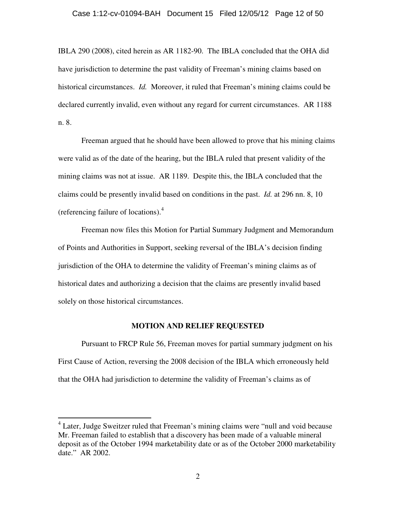#### Case 1:12-cv-01094-BAH Document 15 Filed 12/05/12 Page 12 of 50

IBLA 290 (2008), cited herein as AR 1182-90. The IBLA concluded that the OHA did have jurisdiction to determine the past validity of Freeman's mining claims based on historical circumstances. *Id.* Moreover, it ruled that Freeman's mining claims could be declared currently invalid, even without any regard for current circumstances. AR 1188 n. 8.

 Freeman argued that he should have been allowed to prove that his mining claims were valid as of the date of the hearing, but the IBLA ruled that present validity of the mining claims was not at issue. AR 1189. Despite this, the IBLA concluded that the claims could be presently invalid based on conditions in the past. *Id.* at 296 nn. 8, 10 (referencing failure of locations).<sup>4</sup>

Freeman now files this Motion for Partial Summary Judgment and Memorandum of Points and Authorities in Support, seeking reversal of the IBLA's decision finding jurisdiction of the OHA to determine the validity of Freeman's mining claims as of historical dates and authorizing a decision that the claims are presently invalid based solely on those historical circumstances.

### **MOTION AND RELIEF REQUESTED**

 Pursuant to FRCP Rule 56, Freeman moves for partial summary judgment on his First Cause of Action, reversing the 2008 decision of the IBLA which erroneously held that the OHA had jurisdiction to determine the validity of Freeman's claims as of

<sup>&</sup>lt;sup>4</sup> Later, Judge Sweitzer ruled that Freeman's mining claims were "null and void because Mr. Freeman failed to establish that a discovery has been made of a valuable mineral deposit as of the October 1994 marketability date or as of the October 2000 marketability date." AR 2002.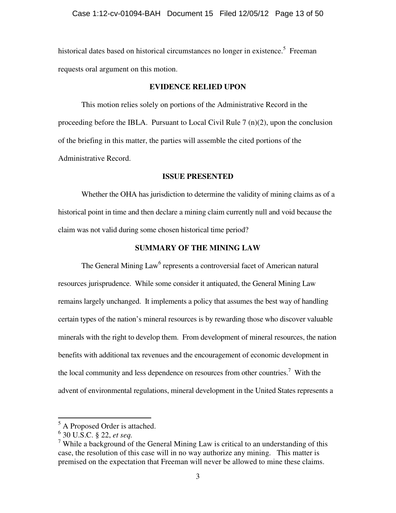historical dates based on historical circumstances no longer in existence.<sup>5</sup> Freeman requests oral argument on this motion.

## **EVIDENCE RELIED UPON**

This motion relies solely on portions of the Administrative Record in the proceeding before the IBLA. Pursuant to Local Civil Rule  $7 \text{ (n)(2)}$ , upon the conclusion of the briefing in this matter, the parties will assemble the cited portions of the Administrative Record.

### **ISSUE PRESENTED**

Whether the OHA has jurisdiction to determine the validity of mining claims as of a historical point in time and then declare a mining claim currently null and void because the claim was not valid during some chosen historical time period?

### **SUMMARY OF THE MINING LAW**

The General Mining Law<sup>6</sup> represents a controversial facet of American natural resources jurisprudence. While some consider it antiquated, the General Mining Law remains largely unchanged. It implements a policy that assumes the best way of handling certain types of the nation's mineral resources is by rewarding those who discover valuable minerals with the right to develop them. From development of mineral resources, the nation benefits with additional tax revenues and the encouragement of economic development in the local community and less dependence on resources from other countries.<sup>7</sup> With the advent of environmental regulations, mineral development in the United States represents a

 5 A Proposed Order is attached.

<sup>6</sup> 30 U.S.C. § 22, *et seq.*

<sup>&</sup>lt;sup>7</sup> While a background of the General Mining Law is critical to an understanding of this case, the resolution of this case will in no way authorize any mining. This matter is premised on the expectation that Freeman will never be allowed to mine these claims.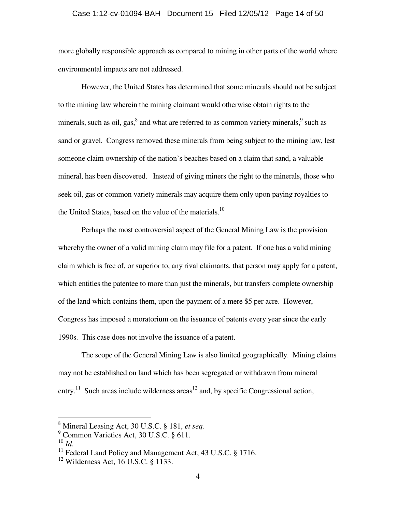#### Case 1:12-cv-01094-BAH Document 15 Filed 12/05/12 Page 14 of 50

more globally responsible approach as compared to mining in other parts of the world where environmental impacts are not addressed.

However, the United States has determined that some minerals should not be subject to the mining law wherein the mining claimant would otherwise obtain rights to the minerals, such as oil, gas,<sup>8</sup> and what are referred to as common variety minerals,<sup>9</sup> such as sand or gravel. Congress removed these minerals from being subject to the mining law, lest someone claim ownership of the nation's beaches based on a claim that sand, a valuable mineral, has been discovered. Instead of giving miners the right to the minerals, those who seek oil, gas or common variety minerals may acquire them only upon paying royalties to the United States, based on the value of the materials.<sup>10</sup>

Perhaps the most controversial aspect of the General Mining Law is the provision whereby the owner of a valid mining claim may file for a patent. If one has a valid mining claim which is free of, or superior to, any rival claimants, that person may apply for a patent, which entitles the patentee to more than just the minerals, but transfers complete ownership of the land which contains them, upon the payment of a mere \$5 per acre. However, Congress has imposed a moratorium on the issuance of patents every year since the early 1990s. This case does not involve the issuance of a patent.

The scope of the General Mining Law is also limited geographically. Mining claims may not be established on land which has been segregated or withdrawn from mineral entry.<sup>11</sup> Such areas include wilderness areas<sup>12</sup> and, by specific Congressional action,

 8 Mineral Leasing Act, 30 U.S.C. § 181, *et seq.*

<sup>9</sup> Common Varieties Act, 30 U.S.C. § 611.

<sup>10</sup> *Id.*

 $11$  Federal Land Policy and Management Act, 43 U.S.C. § 1716.

 $12$  Wilderness Act, 16 U.S.C. § 1133.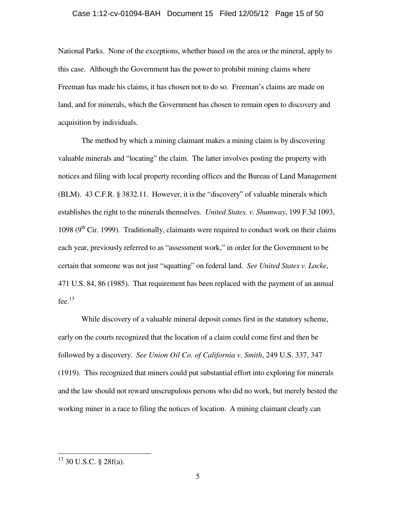#### Case 1:12-cv-01094-BAH Document 15 Filed 12/05/12 Page 15 of 50

National Parks. None of the exceptions, whether based on the area or the mineral, apply to this case. Although the Government has the power to prohibit mining claims where Freeman has made his claims, it has chosen not to do so. Freeman's claims are made on land, and for minerals, which the Government has chosen to remain open to discovery and acquisition by individuals.

The method by which a mining claimant makes a mining claim is by discovering valuable minerals and "locating" the claim. The latter involves posting the property with notices and filing with local property recording offices and the Bureau of Land Management (BLM). 43 C.F.R. § 3832.11. However, it is the "discovery" of valuable minerals which establishes the right to the minerals themselves. *United States. v. Shumway*, 199 F.3d 1093, 1098 ( $9<sup>th</sup>$  Cir. 1999). Traditionally, claimants were required to conduct work on their claims each year, previously referred to as "assessment work," in order for the Government to be certain that someone was not just "squatting" on federal land. *See United States v. Locke*, 471 U.S. 84, 86 (1985). That requirement has been replaced with the payment of an annual fee. $^{13}$ 

While discovery of a valuable mineral deposit comes first in the statutory scheme, early on the courts recognized that the location of a claim could come first and then be followed by a discovery. *See Union Oil Co. of California v. Smith*, 249 U.S. 337, 347 (1919). This recognized that miners could put substantial effort into exploring for minerals and the law should not reward unscrupulous persons who did no work, but merely bested the working miner in a race to filing the notices of location. A mining claimant clearly can

 $13$  30 U.S.C. § 28f(a).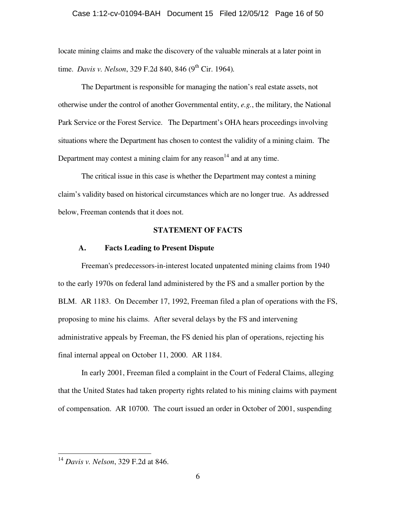#### Case 1:12-cv-01094-BAH Document 15 Filed 12/05/12 Page 16 of 50

locate mining claims and make the discovery of the valuable minerals at a later point in time. *Davis v. Nelson*, 329 F.2d 840, 846 (9<sup>th</sup> Cir. 1964).

The Department is responsible for managing the nation's real estate assets, not otherwise under the control of another Governmental entity, *e.g.*, the military, the National Park Service or the Forest Service. The Department's OHA hears proceedings involving situations where the Department has chosen to contest the validity of a mining claim. The Department may contest a mining claim for any reason<sup>14</sup> and at any time.

The critical issue in this case is whether the Department may contest a mining claim's validity based on historical circumstances which are no longer true. As addressed below, Freeman contends that it does not.

### **STATEMENT OF FACTS**

### **A. Facts Leading to Present Dispute**

Freeman's predecessors-in-interest located unpatented mining claims from 1940 to the early 1970s on federal land administered by the FS and a smaller portion by the BLM. AR 1183. On December 17, 1992, Freeman filed a plan of operations with the FS, proposing to mine his claims. After several delays by the FS and intervening administrative appeals by Freeman, the FS denied his plan of operations, rejecting his final internal appeal on October 11, 2000. AR 1184.

 In early 2001, Freeman filed a complaint in the Court of Federal Claims, alleging that the United States had taken property rights related to his mining claims with payment of compensation. AR 10700. The court issued an order in October of 2001, suspending

<sup>14</sup> *Davis v. Nelson*, 329 F.2d at 846.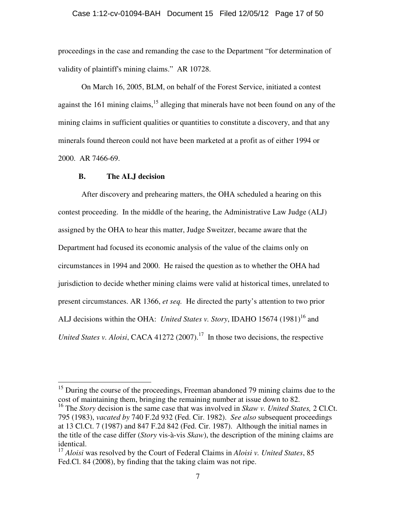### Case 1:12-cv-01094-BAH Document 15 Filed 12/05/12 Page 17 of 50

proceedings in the case and remanding the case to the Department "for determination of validity of plaintiff's mining claims." AR 10728.

 On March 16, 2005, BLM, on behalf of the Forest Service, initiated a contest against the 161 mining claims, $15$  alleging that minerals have not been found on any of the mining claims in sufficient qualities or quantities to constitute a discovery, and that any minerals found thereon could not have been marketed at a profit as of either 1994 or 2000. AR 7466-69.

### **B. The ALJ decision**

 $\overline{a}$ 

 After discovery and prehearing matters, the OHA scheduled a hearing on this contest proceeding. In the middle of the hearing, the Administrative Law Judge (ALJ) assigned by the OHA to hear this matter, Judge Sweitzer, became aware that the Department had focused its economic analysis of the value of the claims only on circumstances in 1994 and 2000. He raised the question as to whether the OHA had jurisdiction to decide whether mining claims were valid at historical times, unrelated to present circumstances. AR 1366, *et seq.* He directed the party's attention to two prior ALJ decisions within the OHA: *United States v. Story*, IDAHO 15674 (1981)<sup>16</sup> and *United States v. Aloisi*, CACA 41272 (2007).<sup>17</sup> In those two decisions, the respective

 $15$  During the course of the proceedings, Freeman abandoned 79 mining claims due to the cost of maintaining them, bringing the remaining number at issue down to 82.

<sup>16</sup> The *Story* decision is the same case that was involved in *Skaw v. United States,* 2 Cl.Ct. 795 (1983), *vacated by* 740 F.2d 932 (Fed. Cir. 1982). *See also* subsequent proceedings at 13 Cl.Ct. 7 (1987) and 847 F.2d 842 (Fed. Cir. 1987). Although the initial names in the title of the case differ (*Story* vis-à-vis *Skaw*), the description of the mining claims are identical.

<sup>17</sup> *Aloisi* was resolved by the Court of Federal Claims in *Aloisi v. United States*, 85 Fed.Cl. 84 (2008), by finding that the taking claim was not ripe.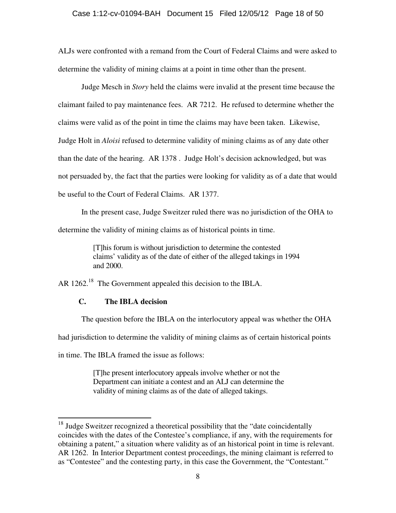### Case 1:12-cv-01094-BAH Document 15 Filed 12/05/12 Page 18 of 50

ALJs were confronted with a remand from the Court of Federal Claims and were asked to determine the validity of mining claims at a point in time other than the present.

 Judge Mesch in *Story* held the claims were invalid at the present time because the claimant failed to pay maintenance fees. AR 7212. He refused to determine whether the claims were valid as of the point in time the claims may have been taken. Likewise, Judge Holt in *Aloisi* refused to determine validity of mining claims as of any date other than the date of the hearing. AR 1378 . Judge Holt's decision acknowledged, but was not persuaded by, the fact that the parties were looking for validity as of a date that would be useful to the Court of Federal Claims. AR 1377.

 In the present case, Judge Sweitzer ruled there was no jurisdiction of the OHA to determine the validity of mining claims as of historical points in time.

> [T]his forum is without jurisdiction to determine the contested claims' validity as of the date of either of the alleged takings in 1994 and 2000.

AR 1262.<sup>18</sup> The Government appealed this decision to the IBLA.

## **C. The IBLA decision**

 The question before the IBLA on the interlocutory appeal was whether the OHA had jurisdiction to determine the validity of mining claims as of certain historical points

in time. The IBLA framed the issue as follows:

 $\overline{a}$ 

[T]he present interlocutory appeals involve whether or not the Department can initiate a contest and an ALJ can determine the validity of mining claims as of the date of alleged takings.

 $18$  Judge Sweitzer recognized a theoretical possibility that the "date coincidentally coincides with the dates of the Contestee's compliance, if any, with the requirements for obtaining a patent," a situation where validity as of an historical point in time is relevant. AR 1262. In Interior Department contest proceedings, the mining claimant is referred to as "Contestee" and the contesting party, in this case the Government, the "Contestant."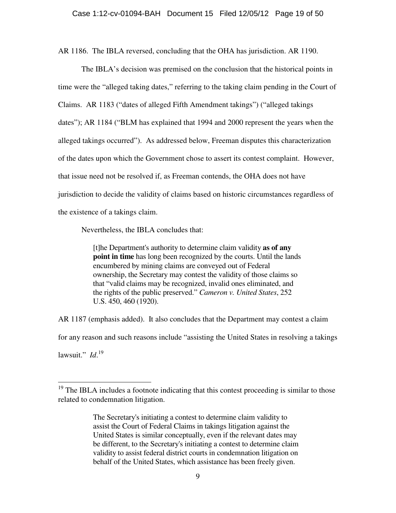AR 1186. The IBLA reversed, concluding that the OHA has jurisdiction. AR 1190.

 The IBLA's decision was premised on the conclusion that the historical points in time were the "alleged taking dates," referring to the taking claim pending in the Court of Claims. AR 1183 ("dates of alleged Fifth Amendment takings") ("alleged takings dates"); AR 1184 ("BLM has explained that 1994 and 2000 represent the years when the alleged takings occurred"). As addressed below, Freeman disputes this characterization of the dates upon which the Government chose to assert its contest complaint. However, that issue need not be resolved if, as Freeman contends, the OHA does not have jurisdiction to decide the validity of claims based on historic circumstances regardless of the existence of a takings claim.

Nevertheless, the IBLA concludes that:

 $\overline{a}$ 

[t]he Department's authority to determine claim validity **as of any point in time** has long been recognized by the courts. Until the lands encumbered by mining claims are conveyed out of Federal ownership, the Secretary may contest the validity of those claims so that "valid claims may be recognized, invalid ones eliminated, and the rights of the public preserved." *Cameron v. United States*, 252 U.S. 450, 460 (1920).

AR 1187 (emphasis added). It also concludes that the Department may contest a claim for any reason and such reasons include "assisting the United States in resolving a takings lawsuit." *Id*. 19

 $19$  The IBLA includes a footnote indicating that this contest proceeding is similar to those related to condemnation litigation.

The Secretary's initiating a contest to determine claim validity to assist the Court of Federal Claims in takings litigation against the United States is similar conceptually, even if the relevant dates may be different, to the Secretary's initiating a contest to determine claim validity to assist federal district courts in condemnation litigation on behalf of the United States, which assistance has been freely given.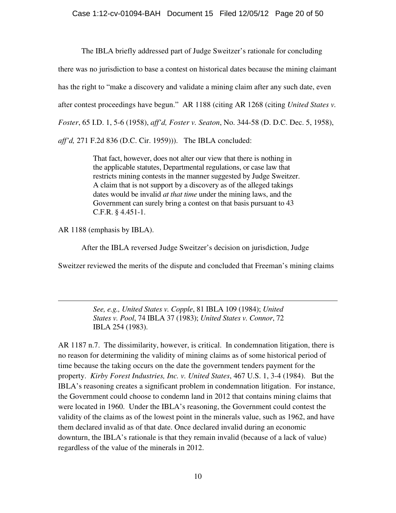The IBLA briefly addressed part of Judge Sweitzer's rationale for concluding

there was no jurisdiction to base a contest on historical dates because the mining claimant has the right to "make a discovery and validate a mining claim after any such date, even after contest proceedings have begun." AR 1188 (citing AR 1268 (citing *United States v. Foster*, 65 I.D. 1, 5-6 (1958), *aff'd, Foster v. Seaton*, No. 344-58 (D. D.C. Dec. 5, 1958), *aff'd,* 271 F.2d 836 (D.C. Cir. 1959))). The IBLA concluded:

> That fact, however, does not alter our view that there is nothing in the applicable statutes, Departmental regulations, or case law that restricts mining contests in the manner suggested by Judge Sweitzer. A claim that is not support by a discovery as of the alleged takings dates would be invalid *at that time* under the mining laws, and the Government can surely bring a contest on that basis pursuant to 43 C.F.R. § 4.451-1.

AR 1188 (emphasis by IBLA).

 $\overline{a}$ 

After the IBLA reversed Judge Sweitzer's decision on jurisdiction, Judge

Sweitzer reviewed the merits of the dispute and concluded that Freeman's mining claims

*See, e.g., United States v. Copple*, 81 IBLA 109 (1984); *United States v. Pool*, 74 IBLA 37 (1983); *United States v. Connor*, 72 IBLA 254 (1983).

AR 1187 n.7. The dissimilarity, however, is critical. In condemnation litigation, there is no reason for determining the validity of mining claims as of some historical period of time because the taking occurs on the date the government tenders payment for the property. *Kirby Forest Industries, Inc. v. United States*, 467 U.S. 1, 3-4 (1984). But the IBLA's reasoning creates a significant problem in condemnation litigation. For instance, the Government could choose to condemn land in 2012 that contains mining claims that were located in 1960. Under the IBLA's reasoning, the Government could contest the validity of the claims as of the lowest point in the minerals value, such as 1962, and have them declared invalid as of that date. Once declared invalid during an economic downturn, the IBLA's rationale is that they remain invalid (because of a lack of value) regardless of the value of the minerals in 2012.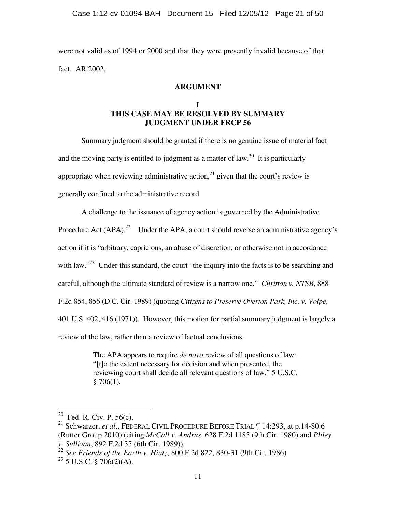were not valid as of 1994 or 2000 and that they were presently invalid because of that fact. AR 2002.

### **ARGUMENT**

# **I THIS CASE MAY BE RESOLVED BY SUMMARY JUDGMENT UNDER FRCP 56**

Summary judgment should be granted if there is no genuine issue of material fact and the moving party is entitled to judgment as a matter of law.<sup>20</sup> It is particularly appropriate when reviewing administrative action,  $2^{1}$  given that the court's review is generally confined to the administrative record.

A challenge to the issuance of agency action is governed by the Administrative Procedure Act  $(APA)$ .<sup>22</sup> Under the APA, a court should reverse an administrative agency's action if it is "arbitrary, capricious, an abuse of discretion, or otherwise not in accordance with law."<sup>23</sup> Under this standard, the court "the inquiry into the facts is to be searching and careful, although the ultimate standard of review is a narrow one." *Chritton v. NTSB*, 888 F.2d 854, 856 (D.C. Cir. 1989) (quoting *Citizens to Preserve Overton Park, Inc. v. Volpe*, 401 U.S. 402, 416 (1971)). However, this motion for partial summary judgment is largely a review of the law, rather than a review of factual conclusions.

> The APA appears to require *de novo* review of all questions of law: "[t]o the extent necessary for decision and when presented, the reviewing court shall decide all relevant questions of law." 5 U.S.C.  $§ 706(1).$

<sup>&</sup>lt;sup>20</sup> Fed. R. Civ. P. 56(c).

<sup>21</sup> Schwarzer, *et al*., FEDERAL CIVIL PROCEDURE BEFORE TRIAL ¶ 14:293, at p.14-80.6 (Rutter Group 2010) (citing *McCall v. Andrus*, 628 F.2d 1185 (9th Cir. 1980) and *Pliley v. Sullivan*, 892 F.2d 35 (6th Cir. 1989)).

<sup>22</sup> *See Friends of the Earth v. Hintz*, 800 F.2d 822, 830-31 (9th Cir. 1986)

 $23$  5 U.S.C. § 706(2)(A).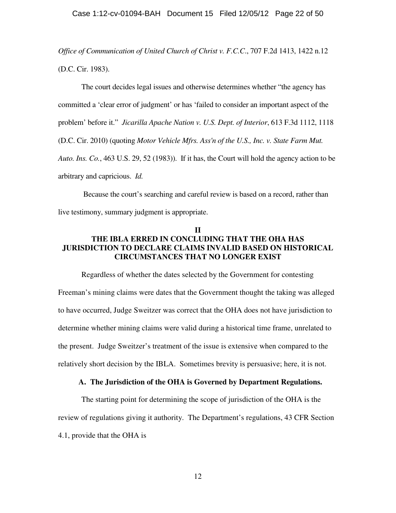*Office of Communication of United Church of Christ v. F.C.C*., 707 F.2d 1413, 1422 n.12 (D.C. Cir. 1983).

The court decides legal issues and otherwise determines whether "the agency has committed a 'clear error of judgment' or has 'failed to consider an important aspect of the problem' before it." *Jicarilla Apache Nation v. U.S. Dept. of Interior*, 613 F.3d 1112, 1118 (D.C. Cir. 2010) (quoting *Motor Vehicle Mfrs. Ass'n of the U.S., Inc. v. State Farm Mut. Auto. Ins. Co.*, 463 U.S. 29, 52 (1983)). If it has, the Court will hold the agency action to be arbitrary and capricious. *Id.*

 Because the court's searching and careful review is based on a record, rather than live testimony, summary judgment is appropriate.

## **II THE IBLA ERRED IN CONCLUDING THAT THE OHA HAS JURISDICTION TO DECLARE CLAIMS INVALID BASED ON HISTORICAL CIRCUMSTANCES THAT NO LONGER EXIST**

 Regardless of whether the dates selected by the Government for contesting Freeman's mining claims were dates that the Government thought the taking was alleged to have occurred, Judge Sweitzer was correct that the OHA does not have jurisdiction to determine whether mining claims were valid during a historical time frame, unrelated to the present. Judge Sweitzer's treatment of the issue is extensive when compared to the relatively short decision by the IBLA. Sometimes brevity is persuasive; here, it is not.

### **A. The Jurisdiction of the OHA is Governed by Department Regulations.**

The starting point for determining the scope of jurisdiction of the OHA is the review of regulations giving it authority. The Department's regulations, 43 CFR Section 4.1, provide that the OHA is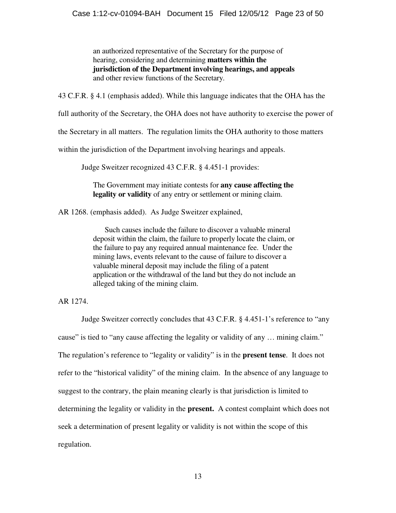an authorized representative of the Secretary for the purpose of hearing, considering and determining **matters within the jurisdiction of the Department involving hearings, and appeals** and other review functions of the Secretary.

43 C.F.R. § 4.1 (emphasis added). While this language indicates that the OHA has the

full authority of the Secretary, the OHA does not have authority to exercise the power of

the Secretary in all matters. The regulation limits the OHA authority to those matters

within the jurisdiction of the Department involving hearings and appeals.

Judge Sweitzer recognized 43 C.F.R. § 4.451-1 provides:

The Government may initiate contests for **any cause affecting the legality or validity** of any entry or settlement or mining claim.

AR 1268. (emphasis added). As Judge Sweitzer explained,

 Such causes include the failure to discover a valuable mineral deposit within the claim, the failure to properly locate the claim, or the failure to pay any required annual maintenance fee. Under the mining laws, events relevant to the cause of failure to discover a valuable mineral deposit may include the filing of a patent application or the withdrawal of the land but they do not include an alleged taking of the mining claim.

AR 1274.

 Judge Sweitzer correctly concludes that 43 C.F.R. § 4.451-1's reference to "any cause" is tied to "any cause affecting the legality or validity of any … mining claim." The regulation's reference to "legality or validity" is in the **present tense**. It does not refer to the "historical validity" of the mining claim. In the absence of any language to suggest to the contrary, the plain meaning clearly is that jurisdiction is limited to determining the legality or validity in the **present.** A contest complaint which does not seek a determination of present legality or validity is not within the scope of this regulation.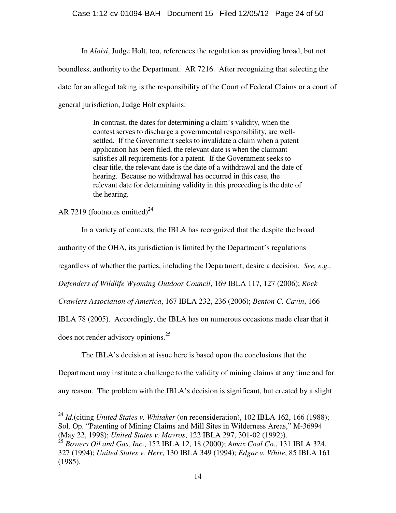### Case 1:12-cv-01094-BAH Document 15 Filed 12/05/12 Page 24 of 50

 In *Aloisi*, Judge Holt, too, references the regulation as providing broad, but not boundless, authority to the Department. AR 7216. After recognizing that selecting the date for an alleged taking is the responsibility of the Court of Federal Claims or a court of general jurisdiction, Judge Holt explains:

> In contrast, the dates for determining a claim's validity, when the contest serves to discharge a governmental responsibility, are wellsettled. If the Government seeks to invalidate a claim when a patent application has been filed, the relevant date is when the claimant satisfies all requirements for a patent. If the Government seeks to clear title, the relevant date is the date of a withdrawal and the date of hearing. Because no withdrawal has occurred in this case, the relevant date for determining validity in this proceeding is the date of the hearing.

AR 7219 (footnotes omitted)<sup>24</sup>

 In a variety of contexts, the IBLA has recognized that the despite the broad authority of the OHA, its jurisdiction is limited by the Department's regulations regardless of whether the parties, including the Department, desire a decision. *See, e.g., Defenders of Wildlife Wyoming Outdoor Council*, 169 IBLA 117, 127 (2006); *Rock Crawlers Association of America*, 167 IBLA 232, 236 (2006); *Benton C. Cavin*, 166 IBLA 78 (2005). Accordingly, the IBLA has on numerous occasions made clear that it

does not render advisory opinions.<sup>25</sup>

 $\overline{a}$ 

The IBLA's decision at issue here is based upon the conclusions that the

Department may institute a challenge to the validity of mining claims at any time and for

any reason. The problem with the IBLA's decision is significant, but created by a slight

<sup>&</sup>lt;sup>24</sup> *Id.*(citing *United States v. Whitaker* (on reconsideration), 102 IBLA 162, 166 (1988); Sol. Op. "Patenting of Mining Claims and Mill Sites in Wilderness Areas," M-36994 (May 22, 1998); *United States v. Mavros*, 122 IBLA 297, 301-02 (1992)).

<sup>25</sup> *Bowers Oil and Gas, Inc*., 152 IBLA 12, 18 (2000); *Amax Coal Co*., 131 IBLA 324, 327 (1994); *United States v. Herr*, 130 IBLA 349 (1994); *Edgar v. White*, 85 IBLA 161 (1985).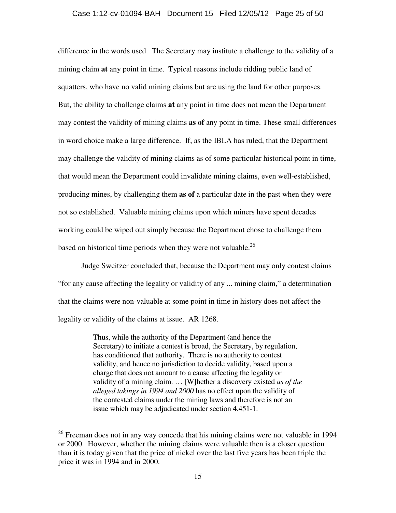#### Case 1:12-cv-01094-BAH Document 15 Filed 12/05/12 Page 25 of 50

difference in the words used. The Secretary may institute a challenge to the validity of a mining claim **at** any point in time. Typical reasons include ridding public land of squatters, who have no valid mining claims but are using the land for other purposes. But, the ability to challenge claims **at** any point in time does not mean the Department may contest the validity of mining claims **as of** any point in time. These small differences in word choice make a large difference. If, as the IBLA has ruled, that the Department may challenge the validity of mining claims as of some particular historical point in time, that would mean the Department could invalidate mining claims, even well-established, producing mines, by challenging them **as of** a particular date in the past when they were not so established. Valuable mining claims upon which miners have spent decades working could be wiped out simply because the Department chose to challenge them based on historical time periods when they were not valuable.<sup>26</sup>

 Judge Sweitzer concluded that, because the Department may only contest claims "for any cause affecting the legality or validity of any ... mining claim," a determination that the claims were non-valuable at some point in time in history does not affect the legality or validity of the claims at issue. AR 1268.

> Thus, while the authority of the Department (and hence the Secretary) to initiate a contest is broad, the Secretary, by regulation, has conditioned that authority. There is no authority to contest validity, and hence no jurisdiction to decide validity, based upon a charge that does not amount to a cause affecting the legality or validity of a mining claim. … [W]hether a discovery existed *as of the alleged takings in 1994 and 2000* has no effect upon the validity of the contested claims under the mining laws and therefore is not an issue which may be adjudicated under section 4.451-1.

 $26$  Freeman does not in any way concede that his mining claims were not valuable in 1994 or 2000. However, whether the mining claims were valuable then is a closer question than it is today given that the price of nickel over the last five years has been triple the price it was in 1994 and in 2000.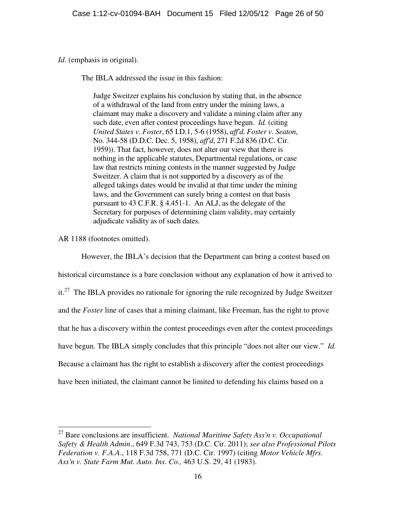*Id*. (emphasis in original).

The IBLA addressed the issue in this fashion:

Judge Sweitzer explains his conclusion by stating that, in the absence of a withdrawal of the land from entry under the mining laws, a claimant may make a discovery and validate a mining claim after any such date, even after contest proceedings have begun. *Id.* (citing *United States v. Foster*, 65 I.D.1, 5-6 (1958), *aff'd, Foster v. Seaton*, No. 344-58 (D.D.C. Dec. 5, 1958), *aff'd*, 271 F.2d 836 (D.C. Cir. 1959)). That fact, however, does not alter our view that there is nothing in the applicable statutes, Departmental regulations, or case law that restricts mining contests in the manner suggested by Judge Sweitzer. A claim that is not supported by a discovery as of the alleged takings dates would be invalid at that time under the mining laws, and the Government can surely bring a contest on that basis pursuant to 43 C.F.R. § 4.451-1. An ALJ, as the delegate of the Secretary for purposes of determining claim validity, may certainly adjudicate validity as of such dates.

AR 1188 (footnotes omitted).

 However, the IBLA's decision that the Department can bring a contest based on historical circumstance is a bare conclusion without any explanation of how it arrived to  $it.^{27}$  The IBLA provides no rationale for ignoring the rule recognized by Judge Sweitzer and the *Foster* line of cases that a mining claimant, like Freeman, has the right to prove that he has a discovery within the contest proceedings even after the contest proceedings have begun. The IBLA simply concludes that this principle "does not alter our view." *Id.* Because a claimant has the right to establish a discovery after the contest proceedings have been initiated, the claimant cannot be limited to defending his claims based on a

 $\overline{a}$ <sup>27</sup> Bare conclusions are insufficient. *National Maritime Safety Ass'n v. Occupational Safety & Health Admin*., 649 F.3d 743, 753 (D.C. Cir. 2011); *see also Professional Pilots Federation v. F.A.A*., 118 F.3d 758, 771 (D.C. Cir. 1997) (citing *Motor Vehicle Mfrs. Ass'n v. State Farm Mut. Auto. Ins. Co.,* 463 U.S. 29, 41 (1983).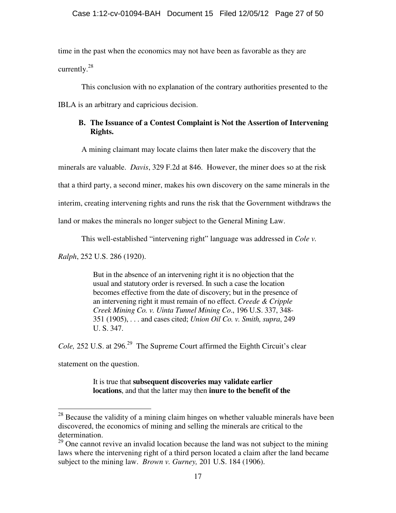time in the past when the economics may not have been as favorable as they are currently. $^{28}$ 

This conclusion with no explanation of the contrary authorities presented to the

IBLA is an arbitrary and capricious decision.

# **B. The Issuance of a Contest Complaint is Not the Assertion of Intervening Rights.**

A mining claimant may locate claims then later make the discovery that the

minerals are valuable. *Davis*, 329 F.2d at 846. However, the miner does so at the risk

that a third party, a second miner, makes his own discovery on the same minerals in the

interim, creating intervening rights and runs the risk that the Government withdraws the

land or makes the minerals no longer subject to the General Mining Law.

This well-established "intervening right" language was addressed in *Cole v.* 

*Ralph*, 252 U.S. 286 (1920).

But in the absence of an intervening right it is no objection that the usual and statutory order is reversed. In such a case the location becomes effective from the date of discovery; but in the presence of an intervening right it must remain of no effect. *Creede & Cripple Creek Mining Co. v. Uinta Tunnel Mining Co*., 196 U.S. 337, 348- 351 (1905), . . . and cases cited; *Union Oil Co. v. Smith, supra*, 249 U. S. 347.

*Cole,* 252 U.S. at 296.<sup>29</sup> The Supreme Court affirmed the Eighth Circuit's clear

statement on the question.

 $\overline{a}$ 

It is true that **subsequent discoveries may validate earlier locations**, and that the latter may then **inure to the benefit of the** 

 $^{28}$  Because the validity of a mining claim hinges on whether valuable minerals have been discovered, the economics of mining and selling the minerals are critical to the determination.

 $29$  One cannot revive an invalid location because the land was not subject to the mining laws where the intervening right of a third person located a claim after the land became subject to the mining law. *Brown v. Gurney,* 201 U.S. 184 (1906).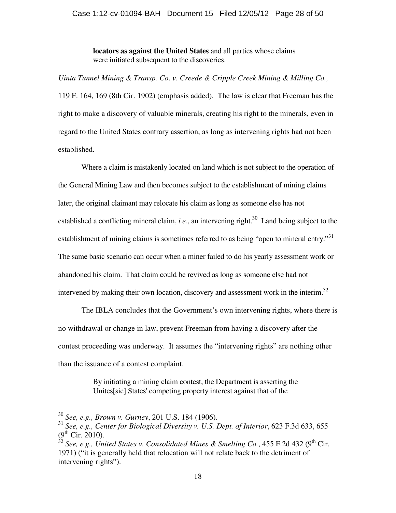**locators as against the United States** and all parties whose claims were initiated subsequent to the discoveries.

*Uinta Tunnel Mining & Transp. Co*. *v. Creede & Cripple Creek Mining & Milling Co.,*  119 F. 164, 169 (8th Cir. 1902) (emphasis added). The law is clear that Freeman has the right to make a discovery of valuable minerals, creating his right to the minerals, even in regard to the United States contrary assertion, as long as intervening rights had not been established.

Where a claim is mistakenly located on land which is not subject to the operation of the General Mining Law and then becomes subject to the establishment of mining claims later, the original claimant may relocate his claim as long as someone else has not established a conflicting mineral claim, *i.e.*, an intervening right.<sup>30</sup> Land being subject to the establishment of mining claims is sometimes referred to as being "open to mineral entry."<sup>31</sup> The same basic scenario can occur when a miner failed to do his yearly assessment work or abandoned his claim. That claim could be revived as long as someone else had not intervened by making their own location, discovery and assessment work in the interim.<sup>32</sup>

The IBLA concludes that the Government's own intervening rights, where there is no withdrawal or change in law, prevent Freeman from having a discovery after the contest proceeding was underway. It assumes the "intervening rights" are nothing other than the issuance of a contest complaint.

> By initiating a mining claim contest, the Department is asserting the Unites[sic] States' competing property interest against that of the

<sup>30</sup> *See, e.g., Brown v. Gurney*, 201 U.S. 184 (1906).

<sup>31</sup> *See, e.g., Center for Biological Diversity v. U.S. Dept. of Interior*, 623 F.3d 633, 655  $(9^{th}$  Cir. 2010).

 $\frac{32}{32}$  *See, e.g., United States v. Consolidated Mines & Smelting Co.,* 455 F.2d 432 (9<sup>th</sup> Cir. 1971) ("it is generally held that relocation will not relate back to the detriment of intervening rights").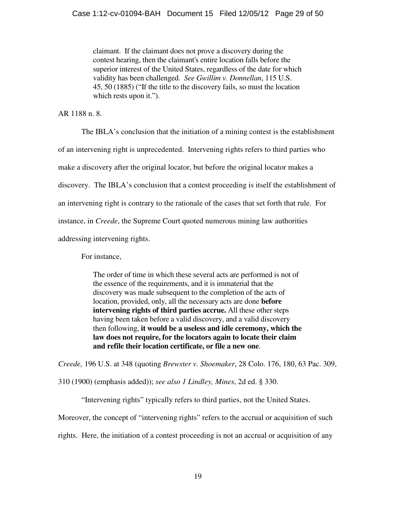claimant. If the claimant does not prove a discovery during the contest hearing, then the claimant's entire location falls before the superior interest of the United States, regardless of the date for which validity has been challenged. *See Gwillim v. Donnellan*, 115 U.S. 45, 50 (1885) ("If the title to the discovery fails, so must the location which rests upon it.").

AR 1188 n. 8.

 The IBLA's conclusion that the initiation of a mining contest is the establishment of an intervening right is unprecedented. Intervening rights refers to third parties who make a discovery after the original locator, but before the original locator makes a discovery. The IBLA's conclusion that a contest proceeding is itself the establishment of an intervening right is contrary to the rationale of the cases that set forth that rule. For instance, in *Creede*, the Supreme Court quoted numerous mining law authorities addressing intervening rights.

For instance,

The order of time in which these several acts are performed is not of the essence of the requirements, and it is immaterial that the discovery was made subsequent to the completion of the acts of location, provided, only, all the necessary acts are done **before intervening rights of third parties accrue.** All these other steps having been taken before a valid discovery, and a valid discovery then following, **it would be a useless and idle ceremony, which the law does not require, for the locators again to locate their claim and refile their location certificate, or file a new one**.

*Creede,* 196 U.S. at 348 (quoting *Brewster v. Shoemaker*, 28 Colo. 176, 180, 63 Pac. 309,

310 (1900) (emphasis added)); *see also 1 Lindley, Mines*, 2d ed. § 330.

"Intervening rights" typically refers to third parties, not the United States.

Moreover, the concept of "intervening rights" refers to the accrual or acquisition of such

rights. Here, the initiation of a contest proceeding is not an accrual or acquisition of any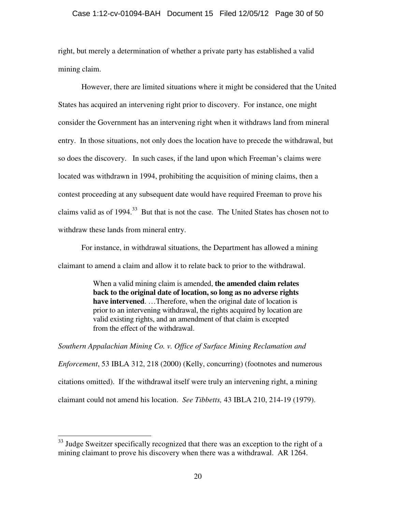### Case 1:12-cv-01094-BAH Document 15 Filed 12/05/12 Page 30 of 50

right, but merely a determination of whether a private party has established a valid mining claim.

 However, there are limited situations where it might be considered that the United States has acquired an intervening right prior to discovery. For instance, one might consider the Government has an intervening right when it withdraws land from mineral entry. In those situations, not only does the location have to precede the withdrawal, but so does the discovery. In such cases, if the land upon which Freeman's claims were located was withdrawn in 1994, prohibiting the acquisition of mining claims, then a contest proceeding at any subsequent date would have required Freeman to prove his claims valid as of 1994.<sup>33</sup> But that is not the case. The United States has chosen not to withdraw these lands from mineral entry.

 For instance, in withdrawal situations, the Department has allowed a mining claimant to amend a claim and allow it to relate back to prior to the withdrawal.

> When a valid mining claim is amended, **the amended claim relates back to the original date of location, so long as no adverse rights have intervened**. …Therefore, when the original date of location is prior to an intervening withdrawal, the rights acquired by location are valid existing rights, and an amendment of that claim is excepted from the effect of the withdrawal.

*Southern Appalachian Mining Co. v. Office of Surface Mining Reclamation and Enforcement*, 53 IBLA 312, 218 (2000) (Kelly, concurring) (footnotes and numerous citations omitted). If the withdrawal itself were truly an intervening right, a mining claimant could not amend his location. *See Tibbetts,* 43 IBLA 210, 214-19 (1979).

 $33$  Judge Sweitzer specifically recognized that there was an exception to the right of a mining claimant to prove his discovery when there was a withdrawal. AR 1264.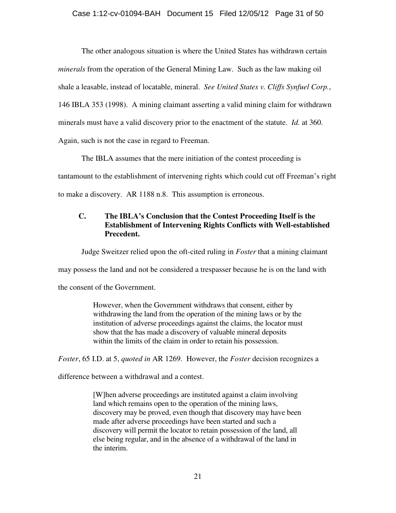The other analogous situation is where the United States has withdrawn certain *minerals* from the operation of the General Mining Law. Such as the law making oil shale a leasable, instead of locatable, mineral. *See United States v. Cliffs Synfuel Corp.*, 146 IBLA 353 (1998). A mining claimant asserting a valid mining claim for withdrawn minerals must have a valid discovery prior to the enactment of the statute. *Id.* at 360. Again, such is not the case in regard to Freeman.

 The IBLA assumes that the mere initiation of the contest proceeding is tantamount to the establishment of intervening rights which could cut off Freeman's right to make a discovery. AR 1188 n.8. This assumption is erroneous.

# **C. The IBLA's Conclusion that the Contest Proceeding Itself is the Establishment of Intervening Rights Conflicts with Well-established Precedent.**

Judge Sweitzer relied upon the oft-cited ruling in *Foster* that a mining claimant

may possess the land and not be considered a trespasser because he is on the land with

the consent of the Government.

However, when the Government withdraws that consent, either by withdrawing the land from the operation of the mining laws or by the institution of adverse proceedings against the claims, the locator must show that the has made a discovery of valuable mineral deposits within the limits of the claim in order to retain his possession.

*Foster*, 65 I.D. at 5, *quoted in* AR 1269. However, the *Foster* decision recognizes a

difference between a withdrawal and a contest.

[W]hen adverse proceedings are instituted against a claim involving land which remains open to the operation of the mining laws, discovery may be proved, even though that discovery may have been made after adverse proceedings have been started and such a discovery will permit the locator to retain possession of the land, all else being regular, and in the absence of a withdrawal of the land in the interim.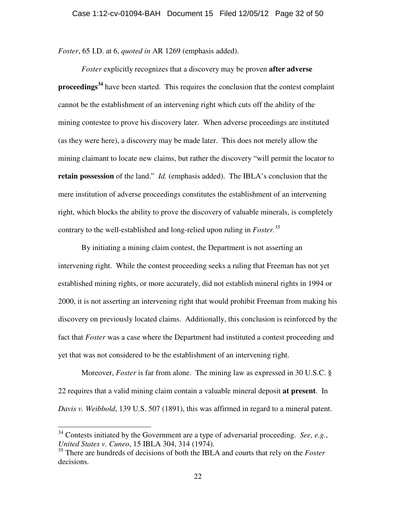*Foster*, 65 I.D. at 6, *quoted in* AR 1269 (emphasis added).

*Foster* explicitly recognizes that a discovery may be proven **after adverse proceedings<sup>34</sup>** have been started. This requires the conclusion that the contest complaint cannot be the establishment of an intervening right which cuts off the ability of the mining contestee to prove his discovery later. When adverse proceedings are instituted (as they were here), a discovery may be made later. This does not merely allow the mining claimant to locate new claims, but rather the discovery "will permit the locator to **retain possession** of the land." *Id.* (emphasis added). The IBLA's conclusion that the mere institution of adverse proceedings constitutes the establishment of an intervening right, which blocks the ability to prove the discovery of valuable minerals, is completely contrary to the well-established and long-relied upon ruling in *Foster.*<sup>35</sup>

 By initiating a mining claim contest, the Department is not asserting an intervening right. While the contest proceeding seeks a ruling that Freeman has not yet established mining rights, or more accurately, did not establish mineral rights in 1994 or 2000, it is not asserting an intervening right that would prohibit Freeman from making his discovery on previously located claims. Additionally, this conclusion is reinforced by the fact that *Foster* was a case where the Department had instituted a contest proceeding and yet that was not considered to be the establishment of an intervening right.

Moreover, *Foster* is far from alone. The mining law as expressed in 30 U.S.C. § 22 requires that a valid mining claim contain a valuable mineral deposit **at present**. In *Davis v. Weibbold*, 139 U.S. 507 (1891), this was affirmed in regard to a mineral patent.

<sup>34</sup> Contests initiated by the Government are a type of adversarial proceeding. *See, e.g*., *United States v. Cuneo*, 15 IBLA 304, 314 (1974).

<sup>35</sup> There are hundreds of decisions of both the IBLA and courts that rely on the *Foster* decisions.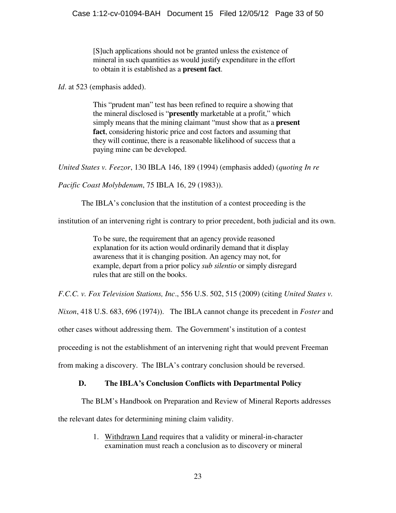[S]uch applications should not be granted unless the existence of mineral in such quantities as would justify expenditure in the effort to obtain it is established as a **present fact**.

*Id*. at 523 (emphasis added).

This "prudent man" test has been refined to require a showing that the mineral disclosed is "**presently** marketable at a profit," which simply means that the mining claimant "must show that as a **present fact**, considering historic price and cost factors and assuming that they will continue, there is a reasonable likelihood of success that a paying mine can be developed.

*United States v. Feezor*, 130 IBLA 146, 189 (1994) (emphasis added) (*quoting In re* 

*Pacific Coast Molybdenum*, 75 IBLA 16, 29 (1983)).

The IBLA's conclusion that the institution of a contest proceeding is the

institution of an intervening right is contrary to prior precedent, both judicial and its own.

To be sure, the requirement that an agency provide reasoned explanation for its action would ordinarily demand that it display awareness that it is changing position. An agency may not, for example, depart from a prior policy *sub silentio* or simply disregard rules that are still on the books.

*F.C.C. v. Fox Television Stations, Inc*., 556 U.S. 502, 515 (2009) (citing *United States v.* 

*Nixon*, 418 U.S. 683, 696 (1974)). The IBLA cannot change its precedent in *Foster* and

other cases without addressing them. The Government's institution of a contest

proceeding is not the establishment of an intervening right that would prevent Freeman

from making a discovery. The IBLA's contrary conclusion should be reversed.

# **D. The IBLA's Conclusion Conflicts with Departmental Policy**

The BLM's Handbook on Preparation and Review of Mineral Reports addresses

the relevant dates for determining mining claim validity.

1. Withdrawn Land requires that a validity or mineral-in-character examination must reach a conclusion as to discovery or mineral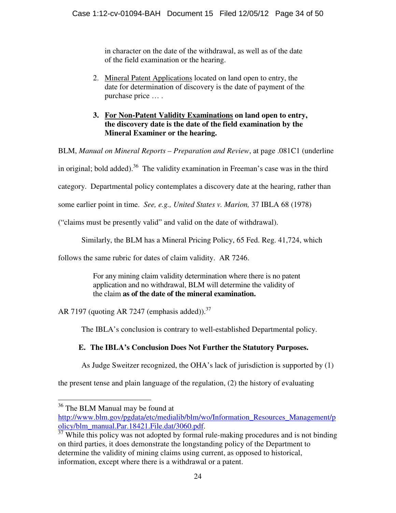in character on the date of the withdrawal, as well as of the date of the field examination or the hearing.

- 2. Mineral Patent Applications located on land open to entry, the date for determination of discovery is the date of payment of the purchase price … .
- **3. For Non-Patent Validity Examinations on land open to entry, the discovery date is the date of the field examination by the Mineral Examiner or the hearing.**

BLM, *Manual on Mineral Reports – Preparation and Review*, at page .081C1 (underline

in original; bold added).<sup>36</sup> The validity examination in Freeman's case was in the third

category. Departmental policy contemplates a discovery date at the hearing, rather than

some earlier point in time. *See, e.g., United States v. Marion,* 37 IBLA 68 (1978)

("claims must be presently valid" and valid on the date of withdrawal).

Similarly, the BLM has a Mineral Pricing Policy, 65 Fed. Reg. 41,724, which

follows the same rubric for dates of claim validity. AR 7246.

For any mining claim validity determination where there is no patent application and no withdrawal, BLM will determine the validity of the claim **as of the date of the mineral examination.** 

AR 7197 (quoting AR 7247 (emphasis added)).<sup>37</sup>

The IBLA's conclusion is contrary to well-established Departmental policy.

# **E. The IBLA's Conclusion Does Not Further the Statutory Purposes.**

As Judge Sweitzer recognized, the OHA's lack of jurisdiction is supported by (1)

the present tense and plain language of the regulation, (2) the history of evaluating

<sup>&</sup>lt;sup>36</sup> The BLM Manual may be found at

http://www.blm.gov/pgdata/etc/medialib/blm/wo/Information\_Resources\_Management/p olicy/blm\_manual.Par.18421.File.dat/3060.pdf.

 $\frac{37}{37}$  While this policy was not adopted by formal rule-making procedures and is not binding on third parties, it does demonstrate the longstanding policy of the Department to determine the validity of mining claims using current, as opposed to historical, information, except where there is a withdrawal or a patent.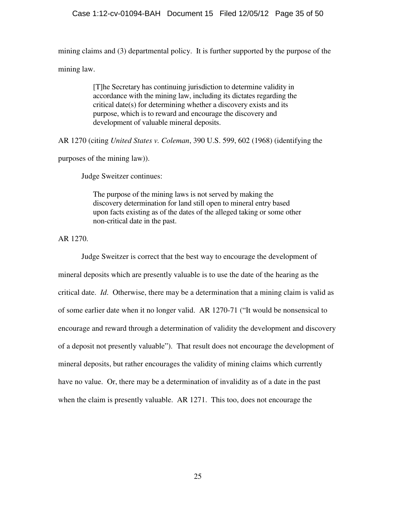mining claims and (3) departmental policy. It is further supported by the purpose of the mining law.

> [T]he Secretary has continuing jurisdiction to determine validity in accordance with the mining law, including its dictates regarding the critical date(s) for determining whether a discovery exists and its purpose, which is to reward and encourage the discovery and development of valuable mineral deposits.

AR 1270 (citing *United States v. Coleman*, 390 U.S. 599, 602 (1968) (identifying the

purposes of the mining law)).

Judge Sweitzer continues:

The purpose of the mining laws is not served by making the discovery determination for land still open to mineral entry based upon facts existing as of the dates of the alleged taking or some other non-critical date in the past.

AR 1270.

 Judge Sweitzer is correct that the best way to encourage the development of mineral deposits which are presently valuable is to use the date of the hearing as the critical date. *Id*. Otherwise, there may be a determination that a mining claim is valid as of some earlier date when it no longer valid. AR 1270-71 ("It would be nonsensical to encourage and reward through a determination of validity the development and discovery of a deposit not presently valuable"). That result does not encourage the development of mineral deposits, but rather encourages the validity of mining claims which currently have no value. Or, there may be a determination of invalidity as of a date in the past when the claim is presently valuable. AR 1271. This too, does not encourage the

25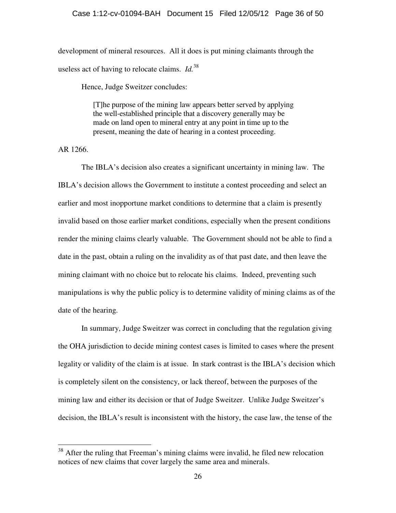#### Case 1:12-cv-01094-BAH Document 15 Filed 12/05/12 Page 36 of 50

development of mineral resources. All it does is put mining claimants through the useless act of having to relocate claims. *Id.*<sup>38</sup>

Hence, Judge Sweitzer concludes:

[T]he purpose of the mining law appears better served by applying the well-established principle that a discovery generally may be made on land open to mineral entry at any point in time up to the present, meaning the date of hearing in a contest proceeding.

AR 1266.

 $\overline{a}$ 

 The IBLA's decision also creates a significant uncertainty in mining law. The IBLA's decision allows the Government to institute a contest proceeding and select an earlier and most inopportune market conditions to determine that a claim is presently invalid based on those earlier market conditions, especially when the present conditions render the mining claims clearly valuable. The Government should not be able to find a date in the past, obtain a ruling on the invalidity as of that past date, and then leave the mining claimant with no choice but to relocate his claims. Indeed, preventing such manipulations is why the public policy is to determine validity of mining claims as of the date of the hearing.

 In summary, Judge Sweitzer was correct in concluding that the regulation giving the OHA jurisdiction to decide mining contest cases is limited to cases where the present legality or validity of the claim is at issue. In stark contrast is the IBLA's decision which is completely silent on the consistency, or lack thereof, between the purposes of the mining law and either its decision or that of Judge Sweitzer. Unlike Judge Sweitzer's decision, the IBLA's result is inconsistent with the history, the case law, the tense of the

 $38$  After the ruling that Freeman's mining claims were invalid, he filed new relocation notices of new claims that cover largely the same area and minerals.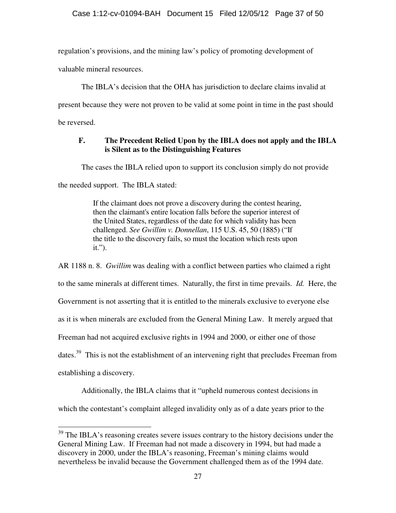regulation's provisions, and the mining law's policy of promoting development of

valuable mineral resources.

 The IBLA's decision that the OHA has jurisdiction to declare claims invalid at present because they were not proven to be valid at some point in time in the past should be reversed.

# **F. The Precedent Relied Upon by the IBLA does not apply and the IBLA is Silent as to the Distinguishing Features**

The cases the IBLA relied upon to support its conclusion simply do not provide

the needed support. The IBLA stated:

 $\overline{a}$ 

If the claimant does not prove a discovery during the contest hearing, then the claimant's entire location falls before the superior interest of the United States, regardless of the date for which validity has been challenged. *See Gwillim v. Donnellan*, 115 U.S. 45, 50 (1885) ("If the title to the discovery fails, so must the location which rests upon it.").

AR 1188 n. 8. *Gwillim* was dealing with a conflict between parties who claimed a right to the same minerals at different times. Naturally, the first in time prevails. *Id.* Here, the Government is not asserting that it is entitled to the minerals exclusive to everyone else as it is when minerals are excluded from the General Mining Law. It merely argued that Freeman had not acquired exclusive rights in 1994 and 2000, or either one of those dates.<sup>39</sup> This is not the establishment of an intervening right that precludes Freeman from establishing a discovery.

 Additionally, the IBLA claims that it "upheld numerous contest decisions in which the contestant's complaint alleged invalidity only as of a date years prior to the

 $39$  The IBLA's reasoning creates severe issues contrary to the history decisions under the General Mining Law. If Freeman had not made a discovery in 1994, but had made a discovery in 2000, under the IBLA's reasoning, Freeman's mining claims would nevertheless be invalid because the Government challenged them as of the 1994 date.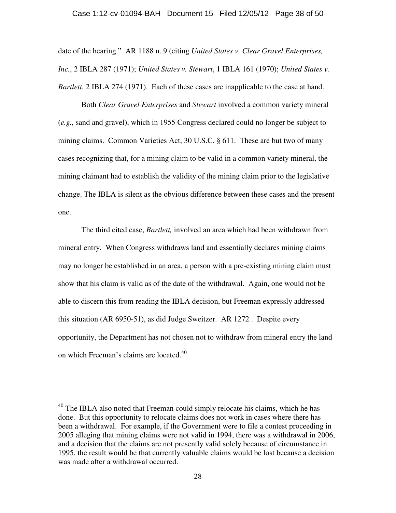date of the hearing." AR 1188 n. 9 (citing *United States v. Clear Gravel Enterprises, Inc.*, 2 IBLA 287 (1971); *United States v. Stewart*, 1 IBLA 161 (1970); *United States v. Bartlett*, 2 IBLA 274 (1971). Each of these cases are inapplicable to the case at hand.

 Both *Clear Gravel Enterprises* and *Stewart* involved a common variety mineral (*e.g.,* sand and gravel), which in 1955 Congress declared could no longer be subject to mining claims. Common Varieties Act, 30 U.S.C. § 611. These are but two of many cases recognizing that, for a mining claim to be valid in a common variety mineral, the mining claimant had to establish the validity of the mining claim prior to the legislative change. The IBLA is silent as the obvious difference between these cases and the present one.

 The third cited case, *Bartlett,* involved an area which had been withdrawn from mineral entry. When Congress withdraws land and essentially declares mining claims may no longer be established in an area, a person with a pre-existing mining claim must show that his claim is valid as of the date of the withdrawal. Again, one would not be able to discern this from reading the IBLA decision, but Freeman expressly addressed this situation (AR 6950-51), as did Judge Sweitzer. AR 1272 . Despite every opportunity, the Department has not chosen not to withdraw from mineral entry the land on which Freeman's claims are located.<sup>40</sup>

 $40$  The IBLA also noted that Freeman could simply relocate his claims, which he has done. But this opportunity to relocate claims does not work in cases where there has been a withdrawal. For example, if the Government were to file a contest proceeding in 2005 alleging that mining claims were not valid in 1994, there was a withdrawal in 2006, and a decision that the claims are not presently valid solely because of circumstance in 1995, the result would be that currently valuable claims would be lost because a decision was made after a withdrawal occurred.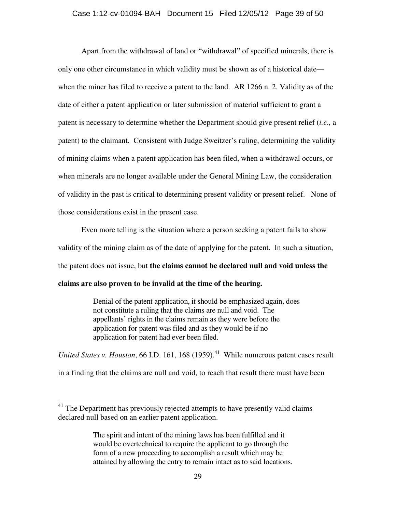### Case 1:12-cv-01094-BAH Document 15 Filed 12/05/12 Page 39 of 50

Apart from the withdrawal of land or "withdrawal" of specified minerals, there is only one other circumstance in which validity must be shown as of a historical date when the miner has filed to receive a patent to the land. AR 1266 n. 2. Validity as of the date of either a patent application or later submission of material sufficient to grant a patent is necessary to determine whether the Department should give present relief (*i.e*., a patent) to the claimant. Consistent with Judge Sweitzer's ruling, determining the validity of mining claims when a patent application has been filed, when a withdrawal occurs, or when minerals are no longer available under the General Mining Law, the consideration of validity in the past is critical to determining present validity or present relief. None of those considerations exist in the present case.

Even more telling is the situation where a person seeking a patent fails to show validity of the mining claim as of the date of applying for the patent. In such a situation, the patent does not issue, but **the claims cannot be declared null and void unless the claims are also proven to be invalid at the time of the hearing.**

> Denial of the patent application, it should be emphasized again, does not constitute a ruling that the claims are null and void. The appellants' rights in the claims remain as they were before the application for patent was filed and as they would be if no application for patent had ever been filed.

*United States v. Houston*, 66 I.D. 161, 168 (1959).<sup>41</sup> While numerous patent cases result in a finding that the claims are null and void, to reach that result there must have been

 $41$  The Department has previously rejected attempts to have presently valid claims declared null based on an earlier patent application.

The spirit and intent of the mining laws has been fulfilled and it would be overtechnical to require the applicant to go through the form of a new proceeding to accomplish a result which may be attained by allowing the entry to remain intact as to said locations.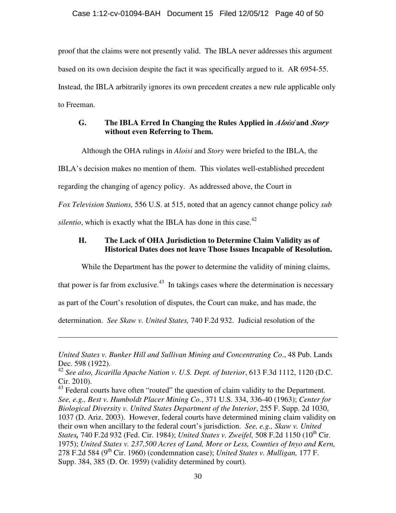proof that the claims were not presently valid. The IBLA never addresses this argument based on its own decision despite the fact it was specifically argued to it. AR 6954-55. Instead, the IBLA arbitrarily ignores its own precedent creates a new rule applicable only to Freeman.

# **G. The IBLA Erred In Changing the Rules Applied in** *Aloisi* **and** *Story* **without even Referring to Them.**

 Although the OHA rulings in *Aloisi* and *Story* were briefed to the IBLA, the IBLA's decision makes no mention of them. This violates well-established precedent regarding the changing of agency policy. As addressed above, the Court in *Fox Television Stations,* 556 U.S. at 515, noted that an agency cannot change policy *sub*  silentio, which is exactly what the IBLA has done in this case.<sup>42</sup>

# **H. The Lack of OHA Jurisdiction to Determine Claim Validity as of Historical Dates does not leave Those Issues Incapable of Resolution.**

While the Department has the power to determine the validity of mining claims,

that power is far from exclusive.<sup>43</sup> In takings cases where the determination is necessary

as part of the Court's resolution of disputes, the Court can make, and has made, the

determination. *See Skaw v. United States,* 740 F.2d 932. Judicial resolution of the

*United States v. Bunker Hill and Sullivan Mining and Concentrating Co*., 48 Pub. Lands Dec. 598 (1922).

<sup>42</sup> *See also, Jicarilla Apache Nation v. U.S. Dept. of Interior*, 613 F.3d 1112, 1120 (D.C. Cir. 2010).

<sup>&</sup>lt;sup>43</sup> Federal courts have often "routed" the question of claim validity to the Department. *See, e.g., Best v. Humboldt Placer Mining Co.*, 371 U.S. 334, 336-40 (1963); *Center for Biological Diversity v. United States Department of the Interior*, 255 F. Supp. 2d 1030, 1037 (D. Ariz. 2003). However, federal courts have determined mining claim validity on their own when ancillary to the federal court's jurisdiction. *See, e.g., Skaw v. United States*, 740 F.2d 932 (Fed. Cir. 1984); *United States v. Zweifel*, 508 F.2d 1150 (10<sup>th</sup> Cir. 1975); *United States v. 237,500 Acres of Land, More or Less, Counties of Inyo and Kern,*  278 F.2d 584 (9th Cir. 1960) (condemnation case); *United States v. Mulligan,* 177 F. Supp. 384, 385 (D. Or. 1959) (validity determined by court).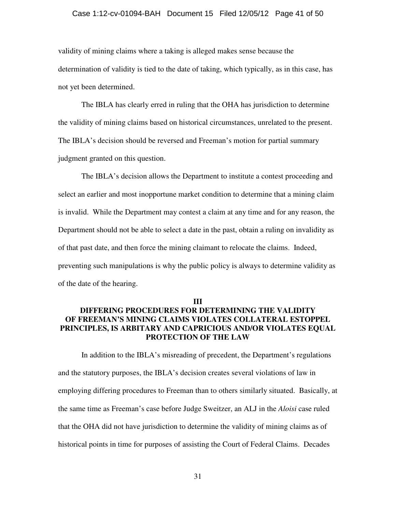#### Case 1:12-cv-01094-BAH Document 15 Filed 12/05/12 Page 41 of 50

validity of mining claims where a taking is alleged makes sense because the determination of validity is tied to the date of taking, which typically, as in this case, has not yet been determined.

The IBLA has clearly erred in ruling that the OHA has jurisdiction to determine the validity of mining claims based on historical circumstances, unrelated to the present. The IBLA's decision should be reversed and Freeman's motion for partial summary judgment granted on this question.

The IBLA's decision allows the Department to institute a contest proceeding and select an earlier and most inopportune market condition to determine that a mining claim is invalid. While the Department may contest a claim at any time and for any reason, the Department should not be able to select a date in the past, obtain a ruling on invalidity as of that past date, and then force the mining claimant to relocate the claims. Indeed, preventing such manipulations is why the public policy is always to determine validity as of the date of the hearing.

#### **III**

# **DIFFERING PROCEDURES FOR DETERMINING THE VALIDITY OF FREEMAN'S MINING CLAIMS VIOLATES COLLATERAL ESTOPPEL PRINCIPLES, IS ARBITARY AND CAPRICIOUS AND/OR VIOLATES EQUAL PROTECTION OF THE LAW**

In addition to the IBLA's misreading of precedent, the Department's regulations and the statutory purposes, the IBLA's decision creates several violations of law in employing differing procedures to Freeman than to others similarly situated. Basically, at the same time as Freeman's case before Judge Sweitzer, an ALJ in the *Aloisi* case ruled that the OHA did not have jurisdiction to determine the validity of mining claims as of historical points in time for purposes of assisting the Court of Federal Claims. Decades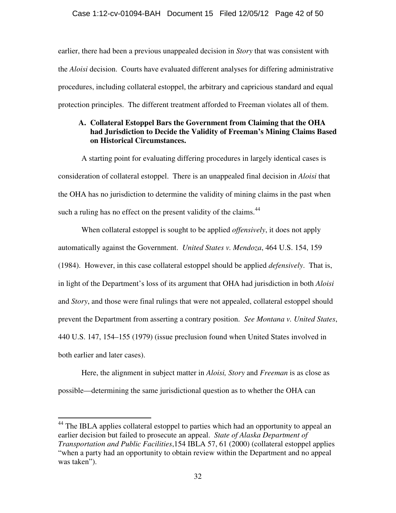### Case 1:12-cv-01094-BAH Document 15 Filed 12/05/12 Page 42 of 50

earlier, there had been a previous unappealed decision in *Story* that was consistent with the *Aloisi* decision. Courts have evaluated different analyses for differing administrative procedures, including collateral estoppel, the arbitrary and capricious standard and equal protection principles. The different treatment afforded to Freeman violates all of them.

# **A. Collateral Estoppel Bars the Government from Claiming that the OHA had Jurisdiction to Decide the Validity of Freeman's Mining Claims Based on Historical Circumstances.**

 A starting point for evaluating differing procedures in largely identical cases is consideration of collateral estoppel. There is an unappealed final decision in *Aloisi* that the OHA has no jurisdiction to determine the validity of mining claims in the past when such a ruling has no effect on the present validity of the claims.<sup>44</sup>

 When collateral estoppel is sought to be applied *offensively*, it does not apply automatically against the Government. *United States v. Mendoza*, 464 U.S. 154, 159 (1984). However, in this case collateral estoppel should be applied *defensively*. That is, in light of the Department's loss of its argument that OHA had jurisdiction in both *Aloisi* and *Story*, and those were final rulings that were not appealed, collateral estoppel should prevent the Department from asserting a contrary position. *See Montana v. United States*, 440 U.S. 147, 154–155 (1979) (issue preclusion found when United States involved in both earlier and later cases).

 Here, the alignment in subject matter in *Aloisi, Story* and *Freeman* is as close as possible—determining the same jurisdictional question as to whether the OHA can

<sup>&</sup>lt;sup>44</sup> The IBLA applies collateral estoppel to parties which had an opportunity to appeal an earlier decision but failed to prosecute an appeal. *State of Alaska Department of Transportation and Public Facilities*,154 IBLA 57, 61 (2000) (collateral estoppel applies "when a party had an opportunity to obtain review within the Department and no appeal was taken").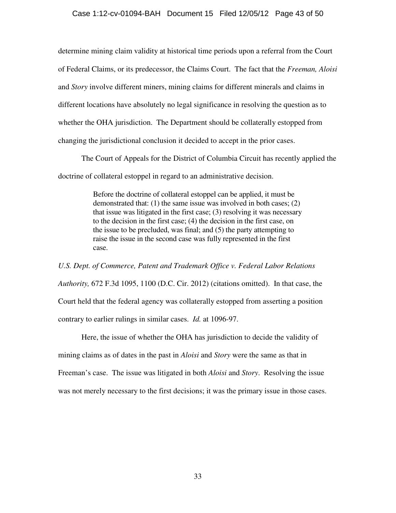### Case 1:12-cv-01094-BAH Document 15 Filed 12/05/12 Page 43 of 50

determine mining claim validity at historical time periods upon a referral from the Court of Federal Claims, or its predecessor, the Claims Court. The fact that the *Freeman, Aloisi*  and *Story* involve different miners, mining claims for different minerals and claims in different locations have absolutely no legal significance in resolving the question as to whether the OHA jurisdiction. The Department should be collaterally estopped from changing the jurisdictional conclusion it decided to accept in the prior cases.

 The Court of Appeals for the District of Columbia Circuit has recently applied the doctrine of collateral estoppel in regard to an administrative decision.

> Before the doctrine of collateral estoppel can be applied, it must be demonstrated that: (1) the same issue was involved in both cases; (2) that issue was litigated in the first case; (3) resolving it was necessary to the decision in the first case; (4) the decision in the first case, on the issue to be precluded, was final; and (5) the party attempting to raise the issue in the second case was fully represented in the first case.

*U.S. Dept. of Commerce, Patent and Trademark Office v. Federal Labor Relations Authority,* 672 F.3d 1095, 1100 (D.C. Cir. 2012) (citations omitted). In that case, the Court held that the federal agency was collaterally estopped from asserting a position contrary to earlier rulings in similar cases. *Id.* at 1096-97.

 Here, the issue of whether the OHA has jurisdiction to decide the validity of mining claims as of dates in the past in *Aloisi* and *Story* were the same as that in Freeman's case. The issue was litigated in both *Aloisi* and *Story*. Resolving the issue was not merely necessary to the first decisions; it was the primary issue in those cases.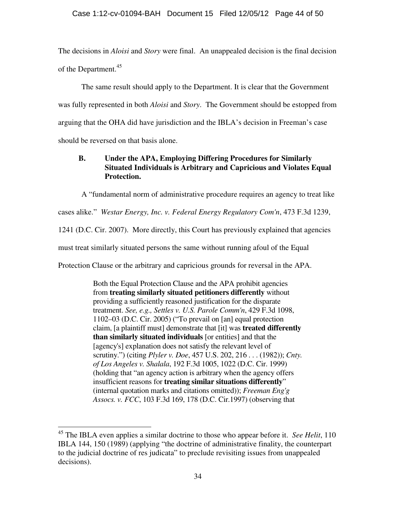The decisions in *Aloisi* and *Story* were final. An unappealed decision is the final decision of the Department.<sup>45</sup>

 The same result should apply to the Department. It is clear that the Government was fully represented in both *Aloisi* and *Story*. The Government should be estopped from arguing that the OHA did have jurisdiction and the IBLA's decision in Freeman's case should be reversed on that basis alone.

# **B. Under the APA, Employing Differing Procedures for Similarly Situated Individuals is Arbitrary and Capricious and Violates Equal Protection.**

A "fundamental norm of administrative procedure requires an agency to treat like

cases alike." *Westar Energy, Inc. v. Federal Energy Regulatory Com'n*, 473 F.3d 1239,

1241 (D.C. Cir. 2007). More directly, this Court has previously explained that agencies

must treat similarly situated persons the same without running afoul of the Equal

Protection Clause or the arbitrary and capricious grounds for reversal in the APA.

Both the Equal Protection Clause and the APA prohibit agencies from **treating similarly situated petitioners differently** without providing a sufficiently reasoned justification for the disparate treatment. *See, e.g., Settles v. U.S. Parole Comm'n*, 429 F.3d 1098, 1102–03 (D.C. Cir. 2005) ("To prevail on [an] equal protection claim, [a plaintiff must] demonstrate that [it] was **treated differently than similarly situated individuals** [or entities] and that the [agency's] explanation does not satisfy the relevant level of scrutiny.") (citing *Plyler v. Doe*, 457 U.S. 202, 216 . . . (1982)); *Cnty. of Los Angeles v. Shalala*, 192 F.3d 1005, 1022 (D.C. Cir. 1999) (holding that "an agency action is arbitrary when the agency offers insufficient reasons for **treating similar situations differently**" (internal quotation marks and citations omitted)); *Freeman Eng'g Assocs. v. FCC*, 103 F.3d 169, 178 (D.C. Cir.1997) (observing that

<sup>45</sup> The IBLA even applies a similar doctrine to those who appear before it. *See Helit*, 110 IBLA 144, 150 (1989) (applying "the doctrine of administrative finality, the counterpart to the judicial doctrine of res judicata" to preclude revisiting issues from unappealed decisions).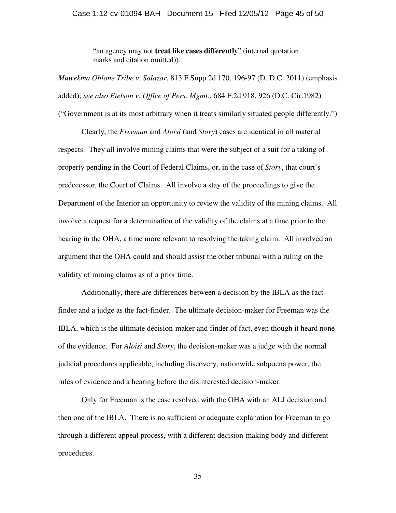"an agency may not **treat like cases differently**" (internal quotation marks and citation omitted)).

*Muwekma Ohlone Tribe v. Salazar*, 813 F.Supp.2d 170, 196-97 (D. D.C. 2011) (emphasis added); *see also Etelson v. Office of Pers. Mgmt.*, 684 F.2d 918, 926 (D.C. Cir.1982) ("Government is at its most arbitrary when it treats similarly situated people differently.")

 Clearly, the *Freeman* and *Aloisi* (and *Story*) cases are identical in all material respects. They all involve mining claims that were the subject of a suit for a taking of property pending in the Court of Federal Claims, or, in the case of *Story*, that court's predecessor, the Court of Claims. All involve a stay of the proceedings to give the Department of the Interior an opportunity to review the validity of the mining claims. All involve a request for a determination of the validity of the claims at a time prior to the hearing in the OHA, a time more relevant to resolving the taking claim. All involved an argument that the OHA could and should assist the other tribunal with a ruling on the validity of mining claims as of a prior time.

 Additionally, there are differences between a decision by the IBLA as the factfinder and a judge as the fact-finder. The ultimate decision-maker for Freeman was the IBLA, which is the ultimate decision-maker and finder of fact, even though it heard none of the evidence. For *Aloisi* and *Story*, the decision-maker was a judge with the normal judicial procedures applicable, including discovery, nationwide subpoena power, the rules of evidence and a hearing before the disinterested decision-maker.

 Only for Freeman is the case resolved with the OHA with an ALJ decision and then one of the IBLA. There is no sufficient or adequate explanation for Freeman to go through a different appeal process, with a different decision-making body and different procedures.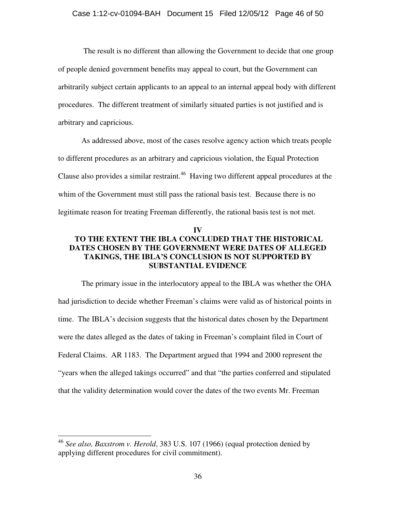The result is no different than allowing the Government to decide that one group of people denied government benefits may appeal to court, but the Government can arbitrarily subject certain applicants to an appeal to an internal appeal body with different procedures. The different treatment of similarly situated parties is not justified and is arbitrary and capricious.

 As addressed above, most of the cases resolve agency action which treats people to different procedures as an arbitrary and capricious violation, the Equal Protection Clause also provides a similar restraint.<sup>46</sup> Having two different appeal procedures at the whim of the Government must still pass the rational basis test. Because there is no legitimate reason for treating Freeman differently, the rational basis test is not met.

# **IV TO THE EXTENT THE IBLA CONCLUDED THAT THE HISTORICAL DATES CHOSEN BY THE GOVERNMENT WERE DATES OF ALLEGED TAKINGS, THE IBLA'S CONCLUSION IS NOT SUPPORTED BY SUBSTANTIAL EVIDENCE**

 The primary issue in the interlocutory appeal to the IBLA was whether the OHA had jurisdiction to decide whether Freeman's claims were valid as of historical points in time. The IBLA's decision suggests that the historical dates chosen by the Department were the dates alleged as the dates of taking in Freeman's complaint filed in Court of Federal Claims. AR 1183. The Department argued that 1994 and 2000 represent the "years when the alleged takings occurred" and that "the parties conferred and stipulated that the validity determination would cover the dates of the two events Mr. Freeman

<sup>46</sup> *See also, Baxstrom v. Herold*, 383 U.S. 107 (1966) (equal protection denied by applying different procedures for civil commitment).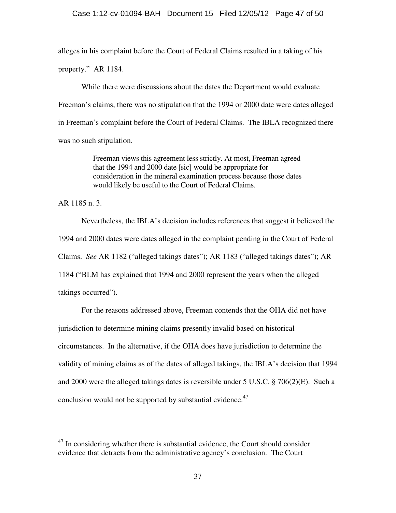### Case 1:12-cv-01094-BAH Document 15 Filed 12/05/12 Page 47 of 50

alleges in his complaint before the Court of Federal Claims resulted in a taking of his property." AR 1184.

While there were discussions about the dates the Department would evaluate Freeman's claims, there was no stipulation that the 1994 or 2000 date were dates alleged in Freeman's complaint before the Court of Federal Claims. The IBLA recognized there was no such stipulation.

> Freeman views this agreement less strictly. At most, Freeman agreed that the 1994 and 2000 date [sic] would be appropriate for consideration in the mineral examination process because those dates would likely be useful to the Court of Federal Claims.

AR 1185 n. 3.

 $\overline{a}$ 

Nevertheless, the IBLA's decision includes references that suggest it believed the 1994 and 2000 dates were dates alleged in the complaint pending in the Court of Federal Claims. *See* AR 1182 ("alleged takings dates"); AR 1183 ("alleged takings dates"); AR 1184 ("BLM has explained that 1994 and 2000 represent the years when the alleged takings occurred").

 For the reasons addressed above, Freeman contends that the OHA did not have jurisdiction to determine mining claims presently invalid based on historical circumstances. In the alternative, if the OHA does have jurisdiction to determine the validity of mining claims as of the dates of alleged takings, the IBLA's decision that 1994 and 2000 were the alleged takings dates is reversible under 5 U.S.C. § 706(2)(E). Such a conclusion would not be supported by substantial evidence. $47$ 

 $47$  In considering whether there is substantial evidence, the Court should consider evidence that detracts from the administrative agency's conclusion. The Court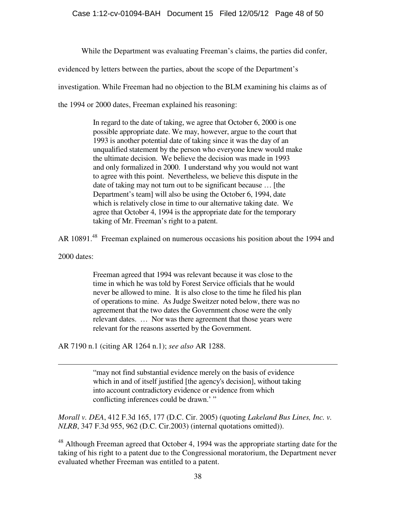While the Department was evaluating Freeman's claims, the parties did confer,

evidenced by letters between the parties, about the scope of the Department's

investigation. While Freeman had no objection to the BLM examining his claims as of

the 1994 or 2000 dates, Freeman explained his reasoning:

In regard to the date of taking, we agree that October 6, 2000 is one possible appropriate date. We may, however, argue to the court that 1993 is another potential date of taking since it was the day of an unqualified statement by the person who everyone knew would make the ultimate decision. We believe the decision was made in 1993 and only formalized in 2000. I understand why you would not want to agree with this point. Nevertheless, we believe this dispute in the date of taking may not turn out to be significant because … [the Department's team] will also be using the October 6, 1994, date which is relatively close in time to our alternative taking date. We agree that October 4, 1994 is the appropriate date for the temporary taking of Mr. Freeman's right to a patent.

AR 10891.<sup>48</sup> Freeman explained on numerous occasions his position about the 1994 and

2000 dates:

 $\overline{a}$ 

Freeman agreed that 1994 was relevant because it was close to the time in which he was told by Forest Service officials that he would never be allowed to mine. It is also close to the time he filed his plan of operations to mine. As Judge Sweitzer noted below, there was no agreement that the two dates the Government chose were the only relevant dates. … Nor was there agreement that those years were relevant for the reasons asserted by the Government.

AR 7190 n.1 (citing AR 1264 n.1); *see also* AR 1288.

"may not find substantial evidence merely on the basis of evidence which in and of itself justified [the agency's decision], without taking into account contradictory evidence or evidence from which conflicting inferences could be drawn.' "

*Morall v. DEA*, 412 F.3d 165, 177 (D.C. Cir. 2005) (quoting *Lakeland Bus Lines, Inc. v. NLRB*, 347 F.3d 955, 962 (D.C. Cir.2003) (internal quotations omitted)).

 $48$  Although Freeman agreed that October 4, 1994 was the appropriate starting date for the taking of his right to a patent due to the Congressional moratorium, the Department never evaluated whether Freeman was entitled to a patent.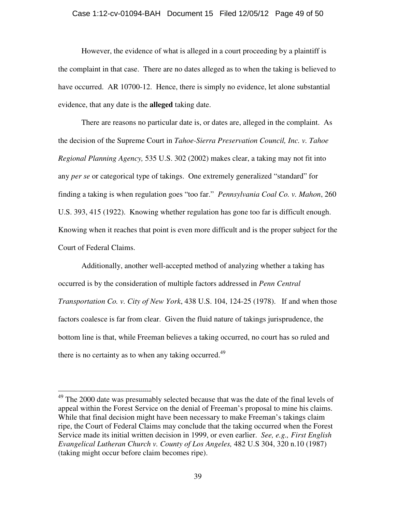#### Case 1:12-cv-01094-BAH Document 15 Filed 12/05/12 Page 49 of 50

 However, the evidence of what is alleged in a court proceeding by a plaintiff is the complaint in that case. There are no dates alleged as to when the taking is believed to have occurred. AR 10700-12. Hence, there is simply no evidence, let alone substantial evidence, that any date is the **alleged** taking date.

 There are reasons no particular date is, or dates are, alleged in the complaint. As the decision of the Supreme Court in *Tahoe-Sierra Preservation Council, Inc. v. Tahoe Regional Planning Agency,* 535 U.S. 302 (2002) makes clear, a taking may not fit into any *per se* or categorical type of takings. One extremely generalized "standard" for finding a taking is when regulation goes "too far." *Pennsylvania Coal Co. v. Mahon*, 260 U.S. 393, 415 (1922). Knowing whether regulation has gone too far is difficult enough. Knowing when it reaches that point is even more difficult and is the proper subject for the Court of Federal Claims.

 Additionally, another well-accepted method of analyzing whether a taking has occurred is by the consideration of multiple factors addressed in *Penn Central Transportation Co. v. City of New York*, 438 U.S. 104, 124-25 (1978). If and when those factors coalesce is far from clear. Given the fluid nature of takings jurisprudence, the bottom line is that, while Freeman believes a taking occurred, no court has so ruled and there is no certainty as to when any taking occurred.<sup>49</sup>

l

<sup>&</sup>lt;sup>49</sup> The 2000 date was presumably selected because that was the date of the final levels of appeal within the Forest Service on the denial of Freeman's proposal to mine his claims. While that final decision might have been necessary to make Freeman's takings claim ripe, the Court of Federal Claims may conclude that the taking occurred when the Forest Service made its initial written decision in 1999, or even earlier. *See, e.g., First English Evangelical Lutheran Church v. County of Los Angeles,* 482 U.S 304, 320 n.10 (1987) (taking might occur before claim becomes ripe).